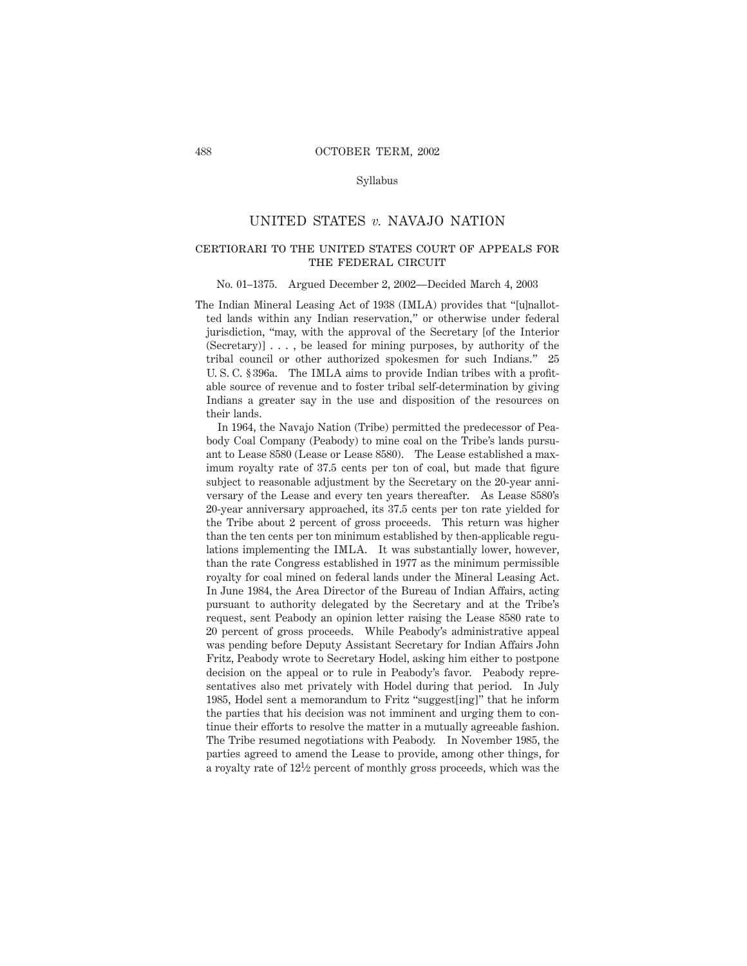## UNITED STATES *v.* NAVAJO NATION

## certiorari to the united states court of appeals for THE FEDERAL CIRCUIT

#### No. 01–1375. Argued December 2, 2002—Decided March 4, 2003

The Indian Mineral Leasing Act of 1938 (IMLA) provides that "[u]nallotted lands within any Indian reservation," or otherwise under federal jurisdiction, "may, with the approval of the Secretary [of the Interior (Secretary)] . . . , be leased for mining purposes, by authority of the tribal council or other authorized spokesmen for such Indians." 25 U. S. C. § 396a. The IMLA aims to provide Indian tribes with a profitable source of revenue and to foster tribal self-determination by giving Indians a greater say in the use and disposition of the resources on their lands.

In 1964, the Navajo Nation (Tribe) permitted the predecessor of Peabody Coal Company (Peabody) to mine coal on the Tribe's lands pursuant to Lease 8580 (Lease or Lease 8580). The Lease established a maximum royalty rate of 37.5 cents per ton of coal, but made that figure subject to reasonable adjustment by the Secretary on the 20-year anniversary of the Lease and every ten years thereafter. As Lease 8580's 20-year anniversary approached, its 37.5 cents per ton rate yielded for the Tribe about 2 percent of gross proceeds. This return was higher than the ten cents per ton minimum established by then-applicable regulations implementing the IMLA. It was substantially lower, however, than the rate Congress established in 1977 as the minimum permissible royalty for coal mined on federal lands under the Mineral Leasing Act. In June 1984, the Area Director of the Bureau of Indian Affairs, acting pursuant to authority delegated by the Secretary and at the Tribe's request, sent Peabody an opinion letter raising the Lease 8580 rate to 20 percent of gross proceeds. While Peabody's administrative appeal was pending before Deputy Assistant Secretary for Indian Affairs John Fritz, Peabody wrote to Secretary Hodel, asking him either to postpone decision on the appeal or to rule in Peabody's favor. Peabody representatives also met privately with Hodel during that period. In July 1985, Hodel sent a memorandum to Fritz "suggest[ing]" that he inform the parties that his decision was not imminent and urging them to continue their efforts to resolve the matter in a mutually agreeable fashion. The Tribe resumed negotiations with Peabody. In November 1985, the parties agreed to amend the Lease to provide, among other things, for a royalty rate of 121⁄2 percent of monthly gross proceeds, which was the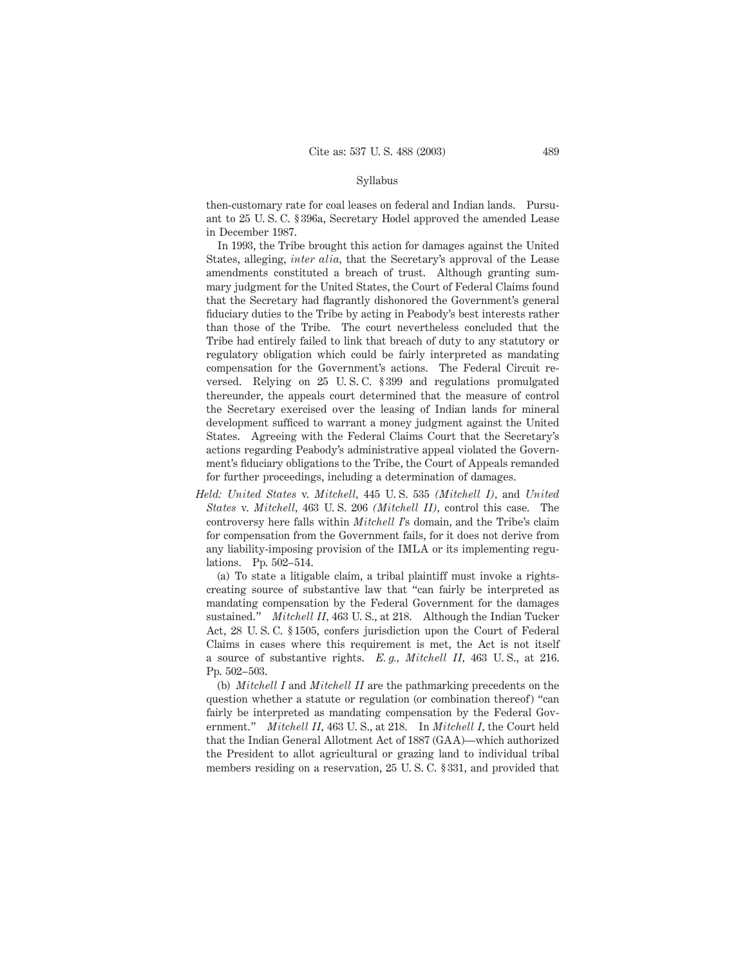then-customary rate for coal leases on federal and Indian lands. Pursuant to 25 U. S. C. § 396a, Secretary Hodel approved the amended Lease in December 1987.

In 1993, the Tribe brought this action for damages against the United States, alleging, *inter alia,* that the Secretary's approval of the Lease amendments constituted a breach of trust. Although granting summary judgment for the United States, the Court of Federal Claims found that the Secretary had flagrantly dishonored the Government's general fiduciary duties to the Tribe by acting in Peabody's best interests rather than those of the Tribe. The court nevertheless concluded that the Tribe had entirely failed to link that breach of duty to any statutory or regulatory obligation which could be fairly interpreted as mandating compensation for the Government's actions. The Federal Circuit reversed. Relying on 25 U. S. C. § 399 and regulations promulgated thereunder, the appeals court determined that the measure of control the Secretary exercised over the leasing of Indian lands for mineral development sufficed to warrant a money judgment against the United States. Agreeing with the Federal Claims Court that the Secretary's actions regarding Peabody's administrative appeal violated the Government's fiduciary obligations to the Tribe, the Court of Appeals remanded for further proceedings, including a determination of damages.

*Held: United States* v. *Mitchell,* 445 U. S. 535 *(Mitchell I),* and *United States* v. *Mitchell,* 463 U. S. 206 *(Mitchell II),* control this case. The controversy here falls within *Mitchell I*'s domain, and the Tribe's claim for compensation from the Government fails, for it does not derive from any liability-imposing provision of the IMLA or its implementing regulations. Pp. 502–514.

(a) To state a litigable claim, a tribal plaintiff must invoke a rightscreating source of substantive law that "can fairly be interpreted as mandating compensation by the Federal Government for the damages sustained." *Mitchell II,* 463 U. S., at 218. Although the Indian Tucker Act, 28 U. S. C. § 1505, confers jurisdiction upon the Court of Federal Claims in cases where this requirement is met, the Act is not itself a source of substantive rights. *E. g., Mitchell II,* 463 U. S., at 216. Pp. 502–503.

(b) *Mitchell I* and *Mitchell II* are the pathmarking precedents on the question whether a statute or regulation (or combination thereof) "can fairly be interpreted as mandating compensation by the Federal Government." *Mitchell II,* 463 U. S., at 218. In *Mitchell I,* the Court held that the Indian General Allotment Act of 1887 (GAA)—which authorized the President to allot agricultural or grazing land to individual tribal members residing on a reservation, 25 U. S. C. § 331, and provided that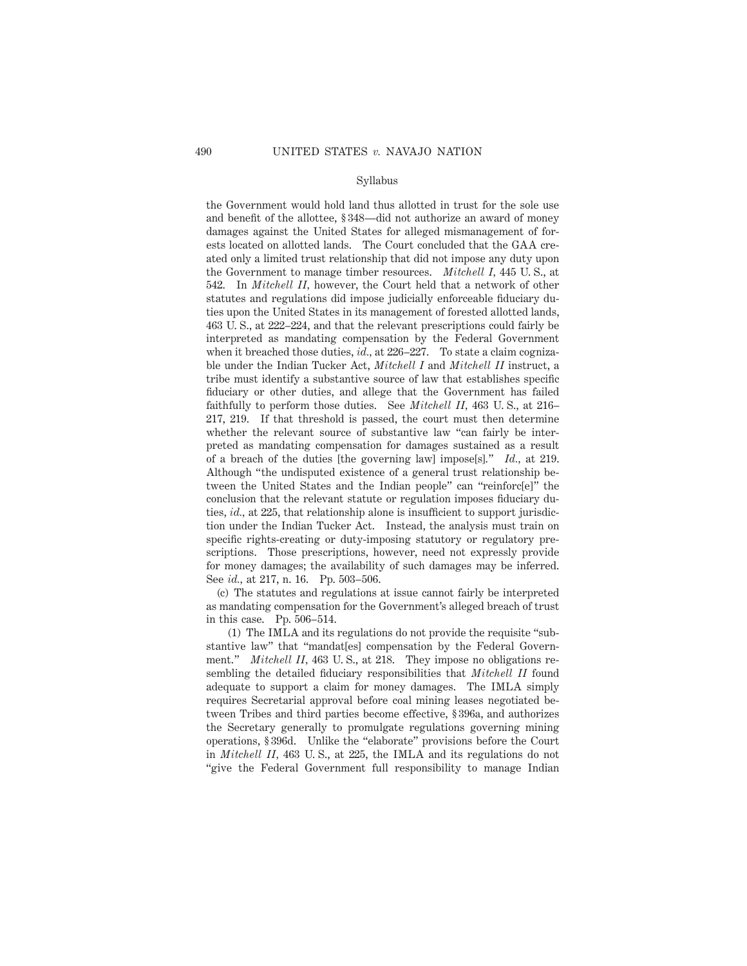the Government would hold land thus allotted in trust for the sole use and benefit of the allottee, § 348—did not authorize an award of money damages against the United States for alleged mismanagement of forests located on allotted lands. The Court concluded that the GAA created only a limited trust relationship that did not impose any duty upon the Government to manage timber resources. *Mitchell I,* 445 U. S., at 542. In *Mitchell II,* however, the Court held that a network of other statutes and regulations did impose judicially enforceable fiduciary duties upon the United States in its management of forested allotted lands, 463 U. S., at 222–224, and that the relevant prescriptions could fairly be interpreted as mandating compensation by the Federal Government when it breached those duties, *id.,* at 226–227. To state a claim cognizable under the Indian Tucker Act, *Mitchell I* and *Mitchell II* instruct, a tribe must identify a substantive source of law that establishes specific fiduciary or other duties, and allege that the Government has failed faithfully to perform those duties. See *Mitchell II,* 463 U. S., at 216– 217, 219. If that threshold is passed, the court must then determine whether the relevant source of substantive law "can fairly be interpreted as mandating compensation for damages sustained as a result of a breach of the duties [the governing law] impose[s]." *Id.,* at 219. Although "the undisputed existence of a general trust relationship between the United States and the Indian people" can "reinforc[e]" the conclusion that the relevant statute or regulation imposes fiduciary duties, *id.,* at 225, that relationship alone is insufficient to support jurisdiction under the Indian Tucker Act. Instead, the analysis must train on specific rights-creating or duty-imposing statutory or regulatory prescriptions. Those prescriptions, however, need not expressly provide for money damages; the availability of such damages may be inferred. See *id.,* at 217, n. 16. Pp. 503–506.

(c) The statutes and regulations at issue cannot fairly be interpreted as mandating compensation for the Government's alleged breach of trust in this case. Pp. 506–514.

(1) The IMLA and its regulations do not provide the requisite "substantive law" that "mandat[es] compensation by the Federal Government." *Mitchell II*, 463 U.S., at 218. They impose no obligations resembling the detailed fiduciary responsibilities that *Mitchell II* found adequate to support a claim for money damages. The IMLA simply requires Secretarial approval before coal mining leases negotiated between Tribes and third parties become effective, § 396a, and authorizes the Secretary generally to promulgate regulations governing mining operations, § 396d. Unlike the "elaborate" provisions before the Court in *Mitchell II,* 463 U. S., at 225, the IMLA and its regulations do not "give the Federal Government full responsibility to manage Indian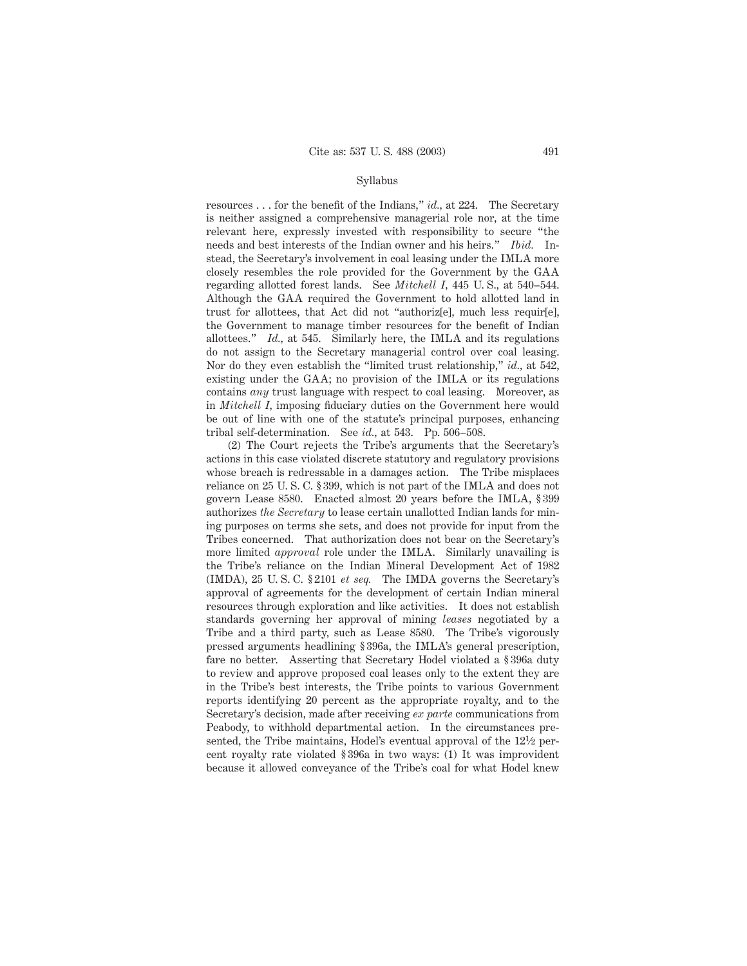resources . . . for the benefit of the Indians," *id.,* at 224. The Secretary is neither assigned a comprehensive managerial role nor, at the time relevant here, expressly invested with responsibility to secure "the needs and best interests of the Indian owner and his heirs." *Ibid.* Instead, the Secretary's involvement in coal leasing under the IMLA more closely resembles the role provided for the Government by the GAA regarding allotted forest lands. See *Mitchell I,* 445 U. S., at 540–544. Although the GAA required the Government to hold allotted land in trust for allottees, that Act did not "authoriz[e], much less requir[e], the Government to manage timber resources for the benefit of Indian allottees." *Id.,* at 545. Similarly here, the IMLA and its regulations do not assign to the Secretary managerial control over coal leasing. Nor do they even establish the "limited trust relationship," *id.,* at 542, existing under the GAA; no provision of the IMLA or its regulations contains *any* trust language with respect to coal leasing. Moreover, as in *Mitchell I,* imposing fiduciary duties on the Government here would be out of line with one of the statute's principal purposes, enhancing tribal self-determination. See *id.,* at 543. Pp. 506–508.

(2) The Court rejects the Tribe's arguments that the Secretary's actions in this case violated discrete statutory and regulatory provisions whose breach is redressable in a damages action. The Tribe misplaces reliance on 25 U. S. C. § 399, which is not part of the IMLA and does not govern Lease 8580. Enacted almost 20 years before the IMLA, § 399 authorizes *the Secretary* to lease certain unallotted Indian lands for mining purposes on terms she sets, and does not provide for input from the Tribes concerned. That authorization does not bear on the Secretary's more limited *approval* role under the IMLA. Similarly unavailing is the Tribe's reliance on the Indian Mineral Development Act of 1982 (IMDA), 25 U. S. C. § 2101 *et seq.* The IMDA governs the Secretary's approval of agreements for the development of certain Indian mineral resources through exploration and like activities. It does not establish standards governing her approval of mining *leases* negotiated by a Tribe and a third party, such as Lease 8580. The Tribe's vigorously pressed arguments headlining § 396a, the IMLA's general prescription, fare no better. Asserting that Secretary Hodel violated a § 396a duty to review and approve proposed coal leases only to the extent they are in the Tribe's best interests, the Tribe points to various Government reports identifying 20 percent as the appropriate royalty, and to the Secretary's decision, made after receiving *ex parte* communications from Peabody, to withhold departmental action. In the circumstances presented, the Tribe maintains, Hodel's eventual approval of the  $12\frac{1}{2}$  percent royalty rate violated § 396a in two ways: (1) It was improvident because it allowed conveyance of the Tribe's coal for what Hodel knew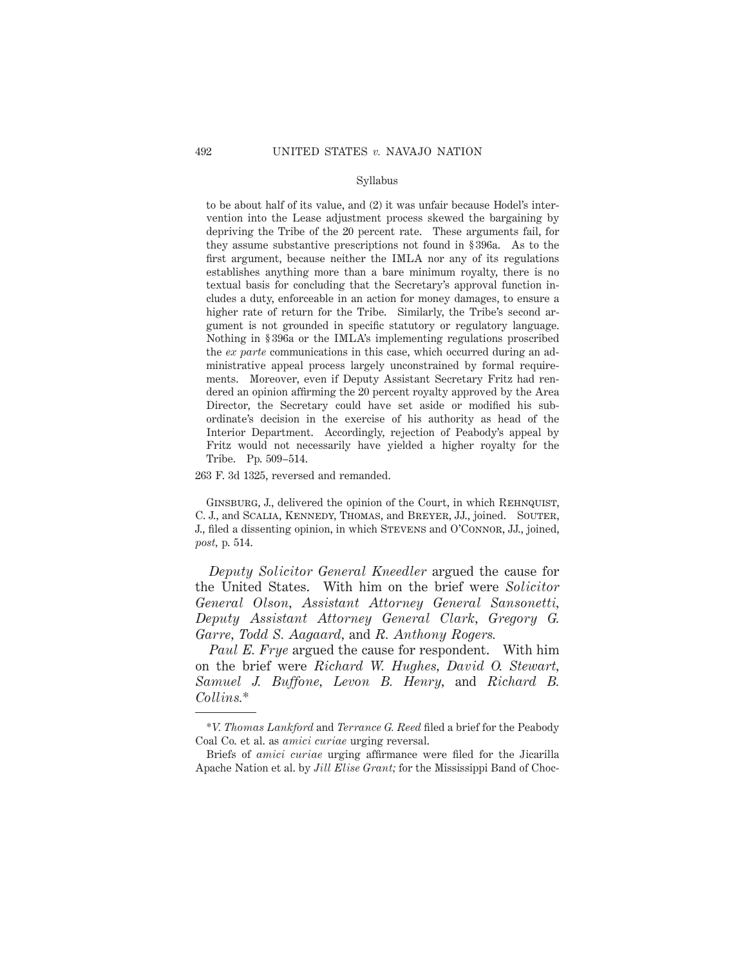to be about half of its value, and (2) it was unfair because Hodel's intervention into the Lease adjustment process skewed the bargaining by depriving the Tribe of the 20 percent rate. These arguments fail, for they assume substantive prescriptions not found in § 396a. As to the first argument, because neither the IMLA nor any of its regulations establishes anything more than a bare minimum royalty, there is no textual basis for concluding that the Secretary's approval function includes a duty, enforceable in an action for money damages, to ensure a higher rate of return for the Tribe. Similarly, the Tribe's second argument is not grounded in specific statutory or regulatory language. Nothing in § 396a or the IMLA's implementing regulations proscribed the *ex parte* communications in this case, which occurred during an administrative appeal process largely unconstrained by formal requirements. Moreover, even if Deputy Assistant Secretary Fritz had rendered an opinion affirming the 20 percent royalty approved by the Area Director, the Secretary could have set aside or modified his subordinate's decision in the exercise of his authority as head of the Interior Department. Accordingly, rejection of Peabody's appeal by Fritz would not necessarily have yielded a higher royalty for the Tribe. Pp. 509–514.

263 F. 3d 1325, reversed and remanded.

GINSBURG, J., delivered the opinion of the Court, in which REHNQUIST, C. J., and Scalia, Kennedy, Thomas, and Breyer, JJ., joined. Souter, J., filed a dissenting opinion, in which Stevens and O'Connor, JJ., joined, *post,* p. 514.

*Deputy Solicitor General Kneedler* argued the cause for the United States. With him on the brief were *Solicitor General Olson, Assistant Attorney General Sansonetti, Deputy Assistant Attorney General Clark, Gregory G. Garre, Todd S. Aagaard,* and *R. Anthony Rogers.*

*Paul E. Frye* argued the cause for respondent. With him on the brief were *Richard W. Hughes, David O. Stewart, Samuel J. Buffone, Levon B. Henry,* and *Richard B. Collins.*\*

<sup>\*</sup>*V. Thomas Lankford* and *Terrance G. Reed* filed a brief for the Peabody Coal Co. et al. as *amici curiae* urging reversal.

Briefs of *amici curiae* urging affirmance were filed for the Jicarilla Apache Nation et al. by *Jill Elise Grant;* for the Mississippi Band of Choc-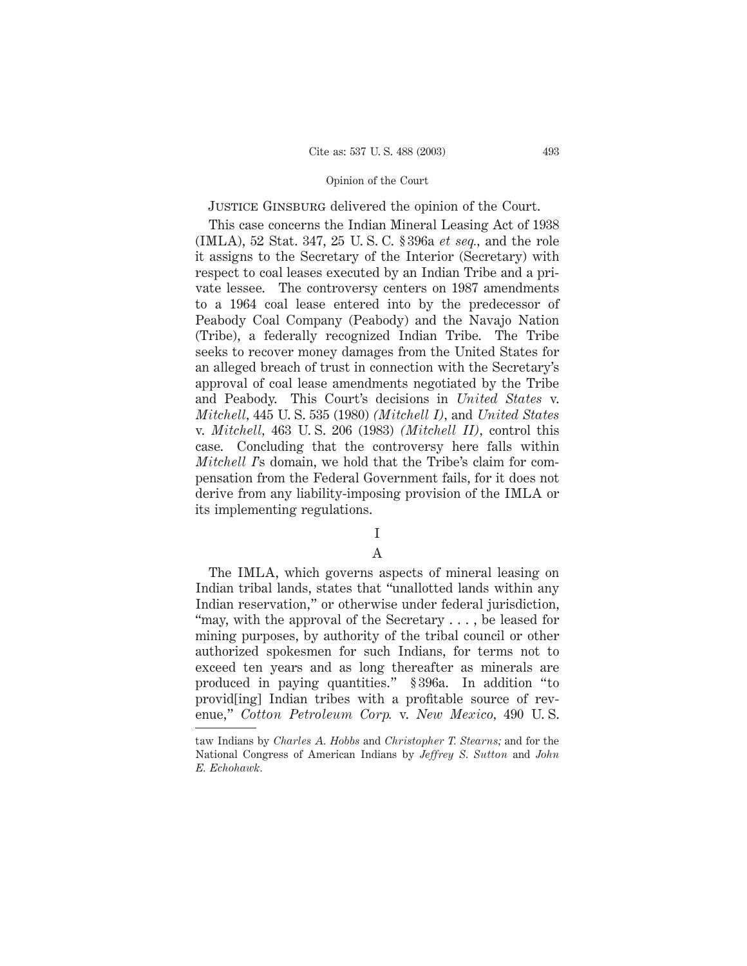JUSTICE GINSBURG delivered the opinion of the Court.

This case concerns the Indian Mineral Leasing Act of 1938 (IMLA), 52 Stat. 347, 25 U. S. C. § 396a *et seq.,* and the role it assigns to the Secretary of the Interior (Secretary) with respect to coal leases executed by an Indian Tribe and a private lessee. The controversy centers on 1987 amendments to a 1964 coal lease entered into by the predecessor of Peabody Coal Company (Peabody) and the Navajo Nation (Tribe), a federally recognized Indian Tribe. The Tribe seeks to recover money damages from the United States for an alleged breach of trust in connection with the Secretary's approval of coal lease amendments negotiated by the Tribe and Peabody. This Court's decisions in *United States* v. *Mitchell,* 445 U. S. 535 (1980) *(Mitchell I),* and *United States* v. *Mitchell,* 463 U. S. 206 (1983) *(Mitchell II),* control this case. Concluding that the controversy here falls within *Mitchell I*'s domain, we hold that the Tribe's claim for compensation from the Federal Government fails, for it does not derive from any liability-imposing provision of the IMLA or its implementing regulations.

## I

# A

The IMLA, which governs aspects of mineral leasing on Indian tribal lands, states that "unallotted lands within any Indian reservation," or otherwise under federal jurisdiction, "may, with the approval of the Secretary . . . , be leased for mining purposes, by authority of the tribal council or other authorized spokesmen for such Indians, for terms not to exceed ten years and as long thereafter as minerals are produced in paying quantities." § 396a. In addition "to provid[ing] Indian tribes with a profitable source of revenue," *Cotton Petroleum Corp.* v. *New Mexico,* 490 U. S.

taw Indians by *Charles A. Hobbs* and *Christopher T. Stearns;* and for the National Congress of American Indians by *Jeffrey S. Sutton* and *John E. Echohawk.*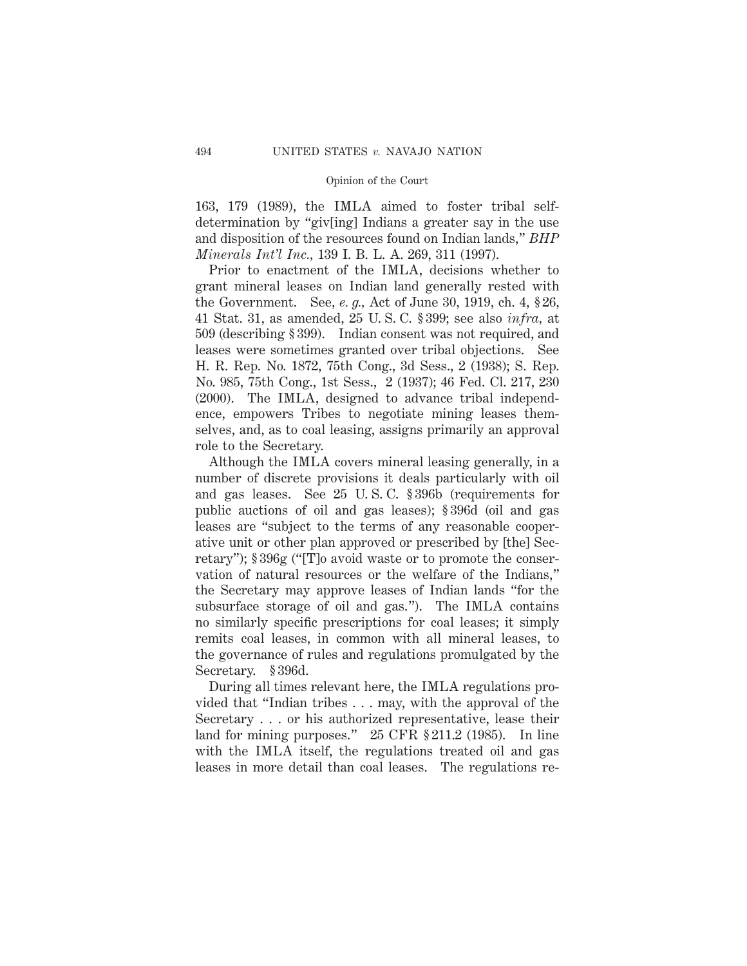163, 179 (1989), the IMLA aimed to foster tribal selfdetermination by "giv[ing] Indians a greater say in the use and disposition of the resources found on Indian lands," *BHP Minerals Int'l Inc.,* 139 I. B. L. A. 269, 311 (1997).

Prior to enactment of the IMLA, decisions whether to grant mineral leases on Indian land generally rested with the Government. See, *e. g.,* Act of June 30, 1919, ch. 4, § 26, 41 Stat. 31, as amended, 25 U. S. C. § 399; see also *infra,* at 509 (describing § 399). Indian consent was not required, and leases were sometimes granted over tribal objections. See H. R. Rep. No. 1872, 75th Cong., 3d Sess., 2 (1938); S. Rep. No. 985, 75th Cong., 1st Sess., 2 (1937); 46 Fed. Cl. 217, 230 (2000). The IMLA, designed to advance tribal independence, empowers Tribes to negotiate mining leases themselves, and, as to coal leasing, assigns primarily an approval role to the Secretary.

Although the IMLA covers mineral leasing generally, in a number of discrete provisions it deals particularly with oil and gas leases. See 25 U. S. C. § 396b (requirements for public auctions of oil and gas leases); § 396d (oil and gas leases are "subject to the terms of any reasonable cooperative unit or other plan approved or prescribed by [the] Secretary"); § 396g ("[T]o avoid waste or to promote the conservation of natural resources or the welfare of the Indians," the Secretary may approve leases of Indian lands "for the subsurface storage of oil and gas."). The IMLA contains no similarly specific prescriptions for coal leases; it simply remits coal leases, in common with all mineral leases, to the governance of rules and regulations promulgated by the Secretary. § 396d.

During all times relevant here, the IMLA regulations provided that "Indian tribes . . . may, with the approval of the Secretary . . . or his authorized representative, lease their land for mining purposes." 25 CFR § 211.2 (1985). In line with the IMLA itself, the regulations treated oil and gas leases in more detail than coal leases. The regulations re-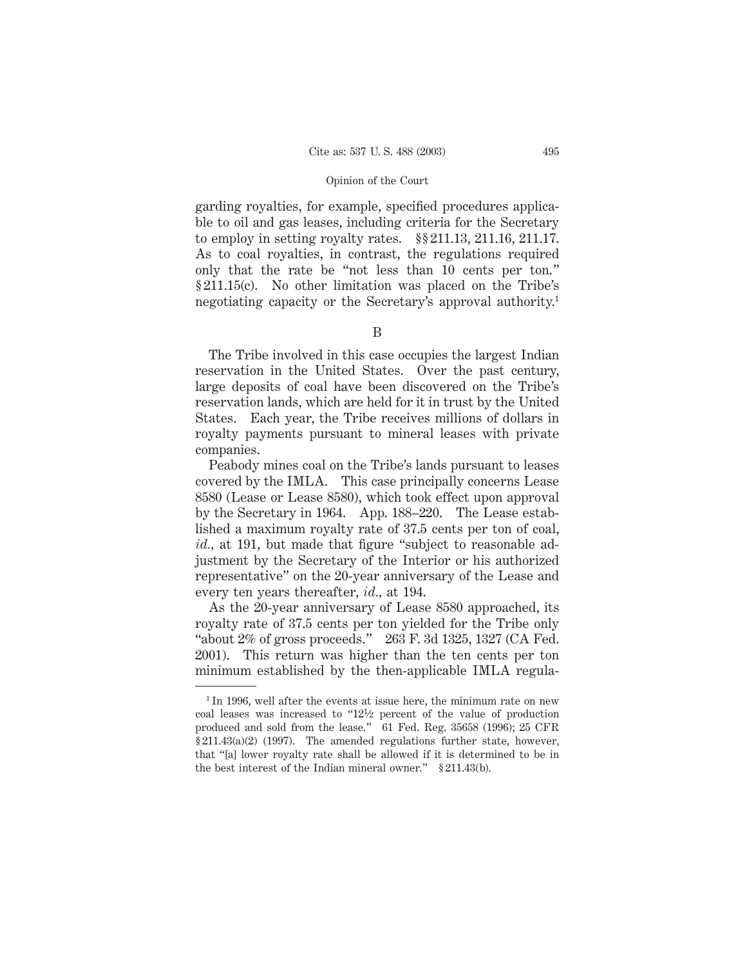garding royalties, for example, specified procedures applicable to oil and gas leases, including criteria for the Secretary to employ in setting royalty rates. §§ 211.13, 211.16, 211.17. As to coal royalties, in contrast, the regulations required only that the rate be "not less than 10 cents per ton." § 211.15(c). No other limitation was placed on the Tribe's negotiating capacity or the Secretary's approval authority.<sup>1</sup>

B

The Tribe involved in this case occupies the largest Indian reservation in the United States. Over the past century, large deposits of coal have been discovered on the Tribe's reservation lands, which are held for it in trust by the United States. Each year, the Tribe receives millions of dollars in royalty payments pursuant to mineral leases with private companies.

Peabody mines coal on the Tribe's lands pursuant to leases covered by the IMLA. This case principally concerns Lease 8580 (Lease or Lease 8580), which took effect upon approval by the Secretary in 1964. App. 188–220. The Lease established a maximum royalty rate of 37.5 cents per ton of coal, *id.,* at 191, but made that figure "subject to reasonable adjustment by the Secretary of the Interior or his authorized representative" on the 20-year anniversary of the Lease and every ten years thereafter, *id.,* at 194.

As the 20-year anniversary of Lease 8580 approached, its royalty rate of 37.5 cents per ton yielded for the Tribe only "about 2% of gross proceeds." 263 F. 3d 1325, 1327 (CA Fed. 2001). This return was higher than the ten cents per ton minimum established by the then-applicable IMLA regula-

<sup>&</sup>lt;sup>1</sup> In 1996, well after the events at issue here, the minimum rate on new coal leases was increased to "121⁄2 percent of the value of production produced and sold from the lease." 61 Fed. Reg. 35658 (1996); 25 CFR § 211.43(a)(2) (1997). The amended regulations further state, however, that "[a] lower royalty rate shall be allowed if it is determined to be in the best interest of the Indian mineral owner." § 211.43(b).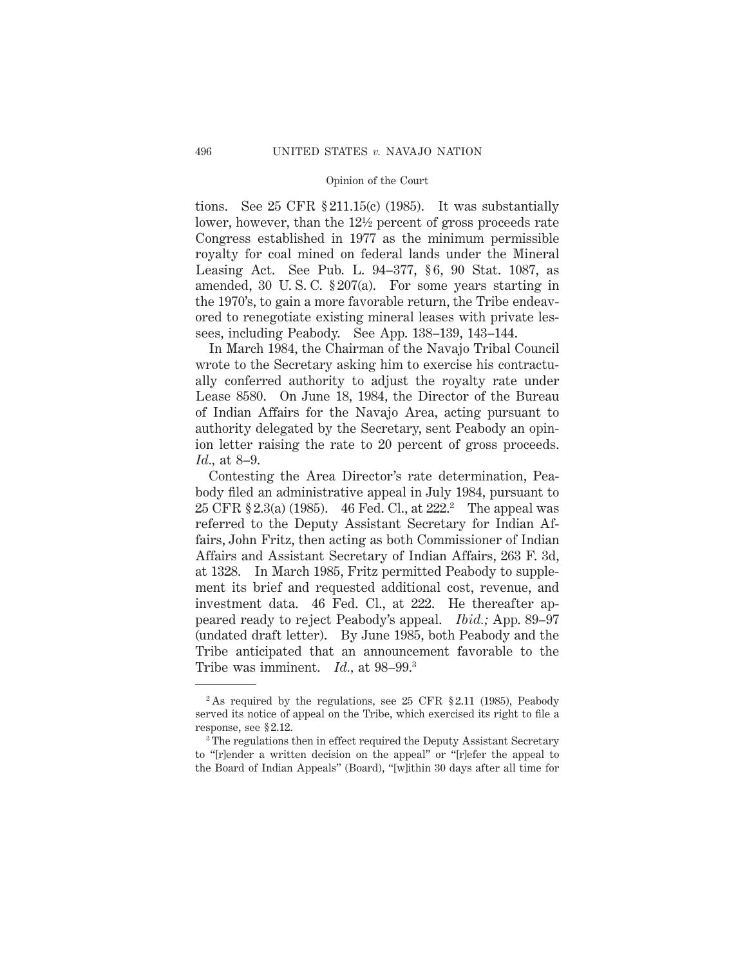tions. See 25 CFR § 211.15(c) (1985). It was substantially lower, however, than the  $12\frac{1}{2}$  percent of gross proceeds rate Congress established in 1977 as the minimum permissible royalty for coal mined on federal lands under the Mineral Leasing Act. See Pub. L. 94–377, § 6, 90 Stat. 1087, as amended, 30 U. S. C. § 207(a). For some years starting in the 1970's, to gain a more favorable return, the Tribe endeavored to renegotiate existing mineral leases with private lessees, including Peabody. See App. 138–139, 143–144.

In March 1984, the Chairman of the Navajo Tribal Council wrote to the Secretary asking him to exercise his contractually conferred authority to adjust the royalty rate under Lease 8580. On June 18, 1984, the Director of the Bureau of Indian Affairs for the Navajo Area, acting pursuant to authority delegated by the Secretary, sent Peabody an opinion letter raising the rate to 20 percent of gross proceeds. *Id.,* at 8–9.

Contesting the Area Director's rate determination, Peabody filed an administrative appeal in July 1984, pursuant to 25 CFR § 2.3(a) (1985). 46 Fed. Cl., at 222.2 The appeal was referred to the Deputy Assistant Secretary for Indian Affairs, John Fritz, then acting as both Commissioner of Indian Affairs and Assistant Secretary of Indian Affairs, 263 F. 3d, at 1328. In March 1985, Fritz permitted Peabody to supplement its brief and requested additional cost, revenue, and investment data. 46 Fed. Cl., at 222. He thereafter appeared ready to reject Peabody's appeal. *Ibid.;* App. 89–97 (undated draft letter). By June 1985, both Peabody and the Tribe anticipated that an announcement favorable to the Tribe was imminent. *Id.,* at 98–99.3

<sup>&</sup>lt;sup>2</sup> As required by the regulations, see 25 CFR  $\S 2.11$  (1985), Peabody served its notice of appeal on the Tribe, which exercised its right to file a response, see § 2.12.

<sup>&</sup>lt;sup>3</sup> The regulations then in effect required the Deputy Assistant Secretary to "[r]ender a written decision on the appeal" or "[r]efer the appeal to the Board of Indian Appeals" (Board), "[w]ithin 30 days after all time for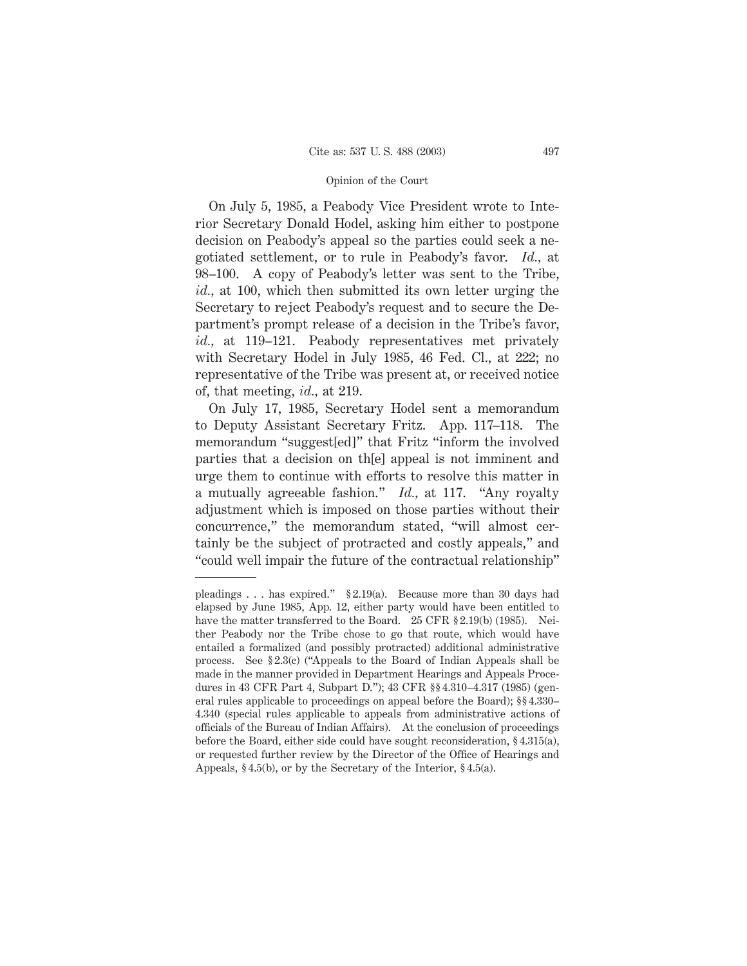On July 5, 1985, a Peabody Vice President wrote to Interior Secretary Donald Hodel, asking him either to postpone decision on Peabody's appeal so the parties could seek a negotiated settlement, or to rule in Peabody's favor. *Id.,* at 98–100. A copy of Peabody's letter was sent to the Tribe, *id.,* at 100, which then submitted its own letter urging the Secretary to reject Peabody's request and to secure the Department's prompt release of a decision in the Tribe's favor, *id.,* at 119–121. Peabody representatives met privately with Secretary Hodel in July 1985, 46 Fed. Cl., at 222; no representative of the Tribe was present at, or received notice of, that meeting, *id.,* at 219.

On July 17, 1985, Secretary Hodel sent a memorandum to Deputy Assistant Secretary Fritz. App. 117–118. The memorandum "suggest[ed]" that Fritz "inform the involved parties that a decision on th[e] appeal is not imminent and urge them to continue with efforts to resolve this matter in a mutually agreeable fashion." *Id.,* at 117. "Any royalty adjustment which is imposed on those parties without their concurrence," the memorandum stated, "will almost certainly be the subject of protracted and costly appeals," and "could well impair the future of the contractual relationship"

pleadings . . . has expired." § 2.19(a). Because more than 30 days had elapsed by June 1985, App. 12, either party would have been entitled to have the matter transferred to the Board. 25 CFR § 2.19(b) (1985). Neither Peabody nor the Tribe chose to go that route, which would have entailed a formalized (and possibly protracted) additional administrative process. See § 2.3(c) ("Appeals to the Board of Indian Appeals shall be made in the manner provided in Department Hearings and Appeals Procedures in 43 CFR Part 4, Subpart D."); 43 CFR §§ 4.310–4.317 (1985) (general rules applicable to proceedings on appeal before the Board); §§ 4.330– 4.340 (special rules applicable to appeals from administrative actions of officials of the Bureau of Indian Affairs). At the conclusion of proceedings before the Board, either side could have sought reconsideration, § 4.315(a), or requested further review by the Director of the Office of Hearings and Appeals, § 4.5(b), or by the Secretary of the Interior, § 4.5(a).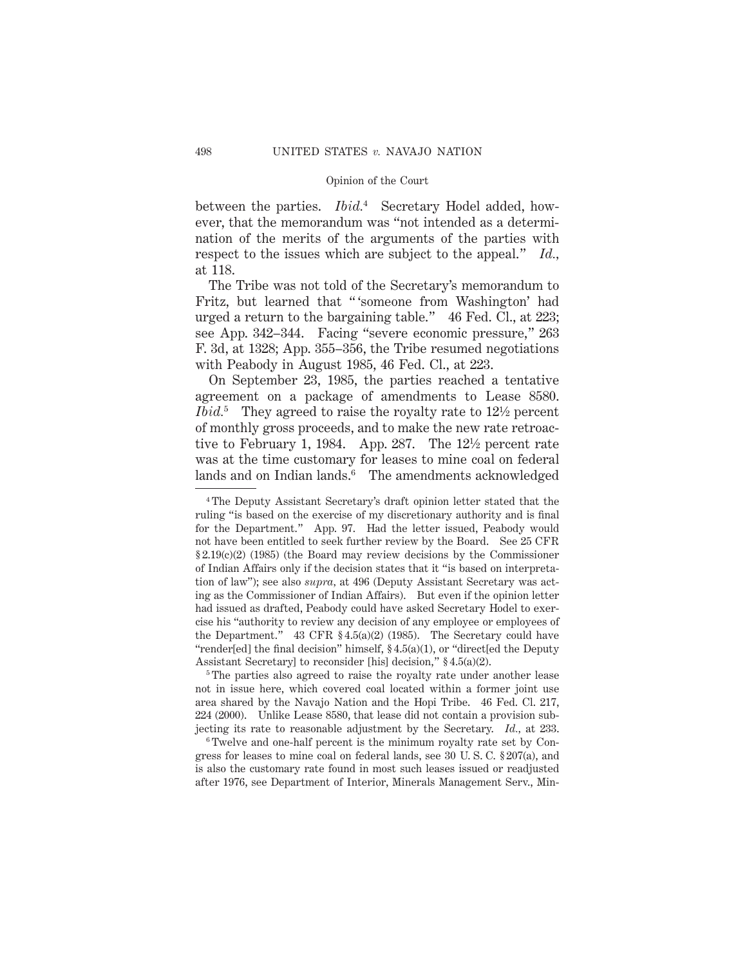between the parties. *Ibid.*<sup>4</sup> Secretary Hodel added, however, that the memorandum was "not intended as a determination of the merits of the arguments of the parties with respect to the issues which are subject to the appeal." *Id.,* at 118.

The Tribe was not told of the Secretary's memorandum to Fritz, but learned that " 'someone from Washington' had urged a return to the bargaining table." 46 Fed. Cl., at 223; see App. 342–344. Facing "severe economic pressure," 263 F. 3d, at 1328; App. 355–356, the Tribe resumed negotiations with Peabody in August 1985, 46 Fed. Cl., at 223.

On September 23, 1985, the parties reached a tentative agreement on a package of amendments to Lease 8580. *Ibid.*<sup>5</sup> They agreed to raise the royalty rate to 12<sup>1</sup>/<sub>2</sub> percent of monthly gross proceeds, and to make the new rate retroactive to February 1, 1984. App. 287. The 121⁄2 percent rate was at the time customary for leases to mine coal on federal lands and on Indian lands.<sup>6</sup> The amendments acknowledged

<sup>5</sup>The parties also agreed to raise the royalty rate under another lease not in issue here, which covered coal located within a former joint use area shared by the Navajo Nation and the Hopi Tribe. 46 Fed. Cl. 217, 224 (2000). Unlike Lease 8580, that lease did not contain a provision subjecting its rate to reasonable adjustment by the Secretary. *Id.,* at 233.

<sup>6</sup> Twelve and one-half percent is the minimum royalty rate set by Congress for leases to mine coal on federal lands, see 30 U. S. C. § 207(a), and is also the customary rate found in most such leases issued or readjusted after 1976, see Department of Interior, Minerals Management Serv., Min-

<sup>4</sup> The Deputy Assistant Secretary's draft opinion letter stated that the ruling "is based on the exercise of my discretionary authority and is final for the Department." App. 97. Had the letter issued, Peabody would not have been entitled to seek further review by the Board. See 25 CFR § 2.19(c)(2) (1985) (the Board may review decisions by the Commissioner of Indian Affairs only if the decision states that it "is based on interpretation of law"); see also *supra,* at 496 (Deputy Assistant Secretary was acting as the Commissioner of Indian Affairs). But even if the opinion letter had issued as drafted, Peabody could have asked Secretary Hodel to exercise his "authority to review any decision of any employee or employees of the Department." 43 CFR § 4.5(a)(2) (1985). The Secretary could have "render[ed] the final decision" himself, § 4.5(a)(1), or "direct[ed the Deputy Assistant Secretary] to reconsider [his] decision," § 4.5(a)(2).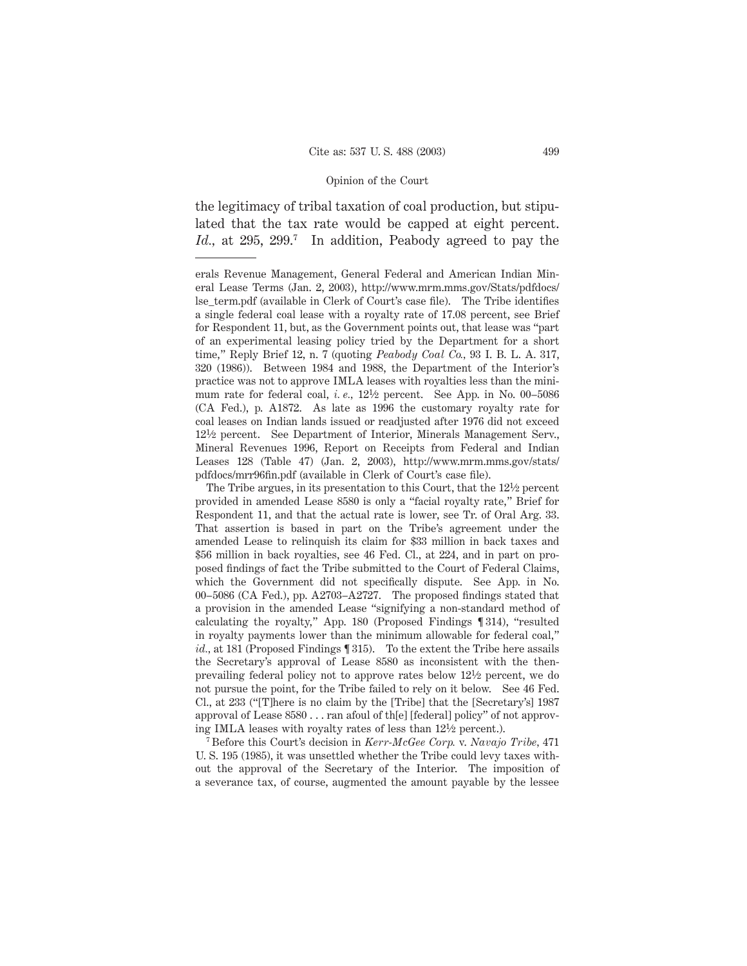the legitimacy of tribal taxation of coal production, but stipulated that the tax rate would be capped at eight percent. Id., at 295, 299.<sup>7</sup> In addition, Peabody agreed to pay the

The Tribe argues, in its presentation to this Court, that the  $12\frac{1}{2}$  percent provided in amended Lease 8580 is only a "facial royalty rate," Brief for Respondent 11, and that the actual rate is lower, see Tr. of Oral Arg. 33. That assertion is based in part on the Tribe's agreement under the amended Lease to relinquish its claim for \$33 million in back taxes and \$56 million in back royalties, see 46 Fed. Cl., at 224, and in part on proposed findings of fact the Tribe submitted to the Court of Federal Claims, which the Government did not specifically dispute. See App. in No. 00–5086 (CA Fed.), pp. A2703–A2727. The proposed findings stated that a provision in the amended Lease "signifying a non-standard method of calculating the royalty," App. 180 (Proposed Findings ¶ 314), "resulted in royalty payments lower than the minimum allowable for federal coal," *id.,* at 181 (Proposed Findings ¶ 315). To the extent the Tribe here assails the Secretary's approval of Lease 8580 as inconsistent with the thenprevailing federal policy not to approve rates below 121⁄2 percent, we do not pursue the point, for the Tribe failed to rely on it below. See 46 Fed. Cl., at 233 ("[T]here is no claim by the [Tribe] that the [Secretary's] 1987 approval of Lease 8580 . . . ran afoul of th[e] [federal] policy" of not approving IMLA leases with royalty rates of less than 121⁄2 percent.).

<sup>7</sup> Before this Court's decision in *Kerr-McGee Corp.* v. *Navajo Tribe,* 471 U. S. 195 (1985), it was unsettled whether the Tribe could levy taxes without the approval of the Secretary of the Interior. The imposition of a severance tax, of course, augmented the amount payable by the lessee

erals Revenue Management, General Federal and American Indian Mineral Lease Terms (Jan. 2, 2003), http://www.mrm.mms.gov/Stats/pdfdocs/ lse\_term.pdf (available in Clerk of Court's case file). The Tribe identifies a single federal coal lease with a royalty rate of 17.08 percent, see Brief for Respondent 11, but, as the Government points out, that lease was "part of an experimental leasing policy tried by the Department for a short time," Reply Brief 12, n. 7 (quoting *Peabody Coal Co.,* 93 I. B. L. A. 317, 320 (1986)). Between 1984 and 1988, the Department of the Interior's practice was not to approve IMLA leases with royalties less than the minimum rate for federal coal, *i. e.,* 121⁄2 percent. See App. in No. 00–5086 (CA Fed.), p. A1872. As late as 1996 the customary royalty rate for coal leases on Indian lands issued or readjusted after 1976 did not exceed 121⁄2 percent. See Department of Interior, Minerals Management Serv., Mineral Revenues 1996, Report on Receipts from Federal and Indian Leases 128 (Table 47) (Jan. 2, 2003), http://www.mrm.mms.gov/stats/ pdfdocs/mrr96fin.pdf (available in Clerk of Court's case file).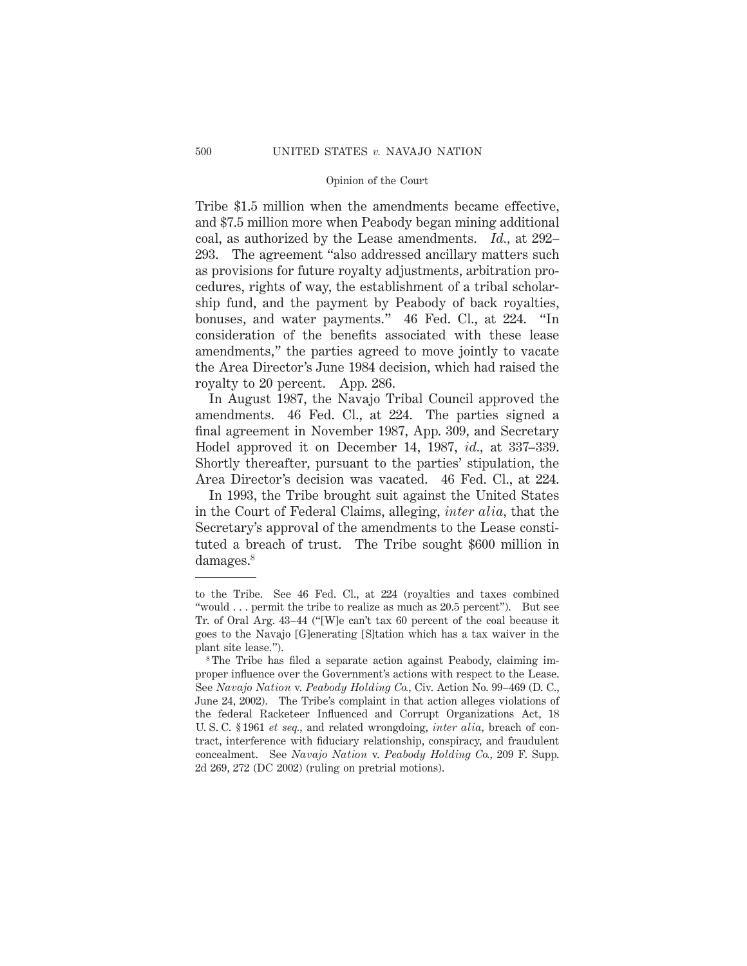Tribe \$1.5 million when the amendments became effective, and \$7.5 million more when Peabody began mining additional coal, as authorized by the Lease amendments. *Id.,* at 292– 293. The agreement "also addressed ancillary matters such as provisions for future royalty adjustments, arbitration procedures, rights of way, the establishment of a tribal scholarship fund, and the payment by Peabody of back royalties, bonuses, and water payments." 46 Fed. Cl., at 224. "In consideration of the benefits associated with these lease amendments," the parties agreed to move jointly to vacate the Area Director's June 1984 decision, which had raised the royalty to 20 percent. App. 286.

In August 1987, the Navajo Tribal Council approved the amendments. 46 Fed. Cl., at 224. The parties signed a final agreement in November 1987, App. 309, and Secretary Hodel approved it on December 14, 1987, *id.,* at 337–339. Shortly thereafter, pursuant to the parties' stipulation, the Area Director's decision was vacated. 46 Fed. Cl., at 224.

In 1993, the Tribe brought suit against the United States in the Court of Federal Claims, alleging, *inter alia,* that the Secretary's approval of the amendments to the Lease constituted a breach of trust. The Tribe sought \$600 million in damages.<sup>8</sup>

to the Tribe. See 46 Fed. Cl., at 224 (royalties and taxes combined "would . . . permit the tribe to realize as much as 20.5 percent"). But see Tr. of Oral Arg. 43–44 ("[W]e can't tax 60 percent of the coal because it goes to the Navajo [G]enerating [S]tation which has a tax waiver in the plant site lease.").

<sup>&</sup>lt;sup>8</sup> The Tribe has filed a separate action against Peabody, claiming improper influence over the Government's actions with respect to the Lease. See *Navajo Nation* v. *Peabody Holding Co.,* Civ. Action No. 99–469 (D. C., June 24, 2002). The Tribe's complaint in that action alleges violations of the federal Racketeer Influenced and Corrupt Organizations Act, 18 U. S. C. § 1961 *et seq.,* and related wrongdoing, *inter alia,* breach of contract, interference with fiduciary relationship, conspiracy, and fraudulent concealment. See *Navajo Nation* v. *Peabody Holding Co.,* 209 F. Supp. 2d 269, 272 (DC 2002) (ruling on pretrial motions).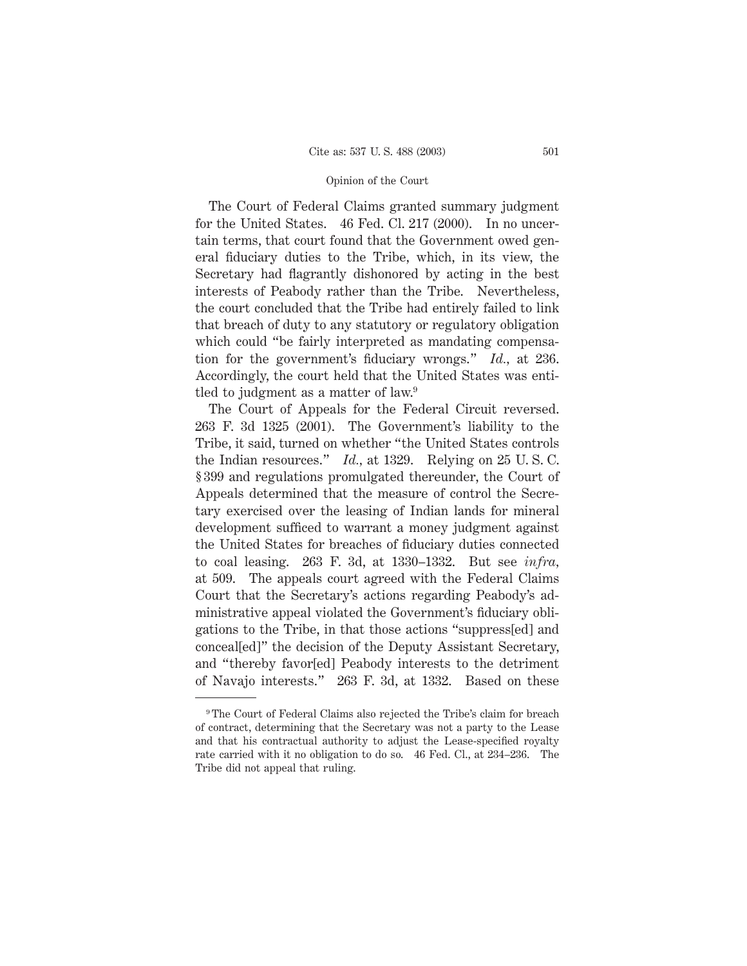The Court of Federal Claims granted summary judgment for the United States. 46 Fed. Cl. 217 (2000). In no uncertain terms, that court found that the Government owed general fiduciary duties to the Tribe, which, in its view, the Secretary had flagrantly dishonored by acting in the best interests of Peabody rather than the Tribe. Nevertheless, the court concluded that the Tribe had entirely failed to link that breach of duty to any statutory or regulatory obligation which could "be fairly interpreted as mandating compensation for the government's fiduciary wrongs." *Id.,* at 236. Accordingly, the court held that the United States was entitled to judgment as a matter of law.<sup>9</sup>

The Court of Appeals for the Federal Circuit reversed. 263 F. 3d 1325 (2001). The Government's liability to the Tribe, it said, turned on whether "the United States controls the Indian resources." *Id.,* at 1329. Relying on 25 U. S. C. § 399 and regulations promulgated thereunder, the Court of Appeals determined that the measure of control the Secretary exercised over the leasing of Indian lands for mineral development sufficed to warrant a money judgment against the United States for breaches of fiduciary duties connected to coal leasing. 263 F. 3d, at 1330–1332. But see *infra,* at 509. The appeals court agreed with the Federal Claims Court that the Secretary's actions regarding Peabody's administrative appeal violated the Government's fiduciary obligations to the Tribe, in that those actions "suppress[ed] and conceal[ed]" the decision of the Deputy Assistant Secretary, and "thereby favor[ed] Peabody interests to the detriment of Navajo interests." 263 F. 3d, at 1332. Based on these

<sup>9</sup> The Court of Federal Claims also rejected the Tribe's claim for breach of contract, determining that the Secretary was not a party to the Lease and that his contractual authority to adjust the Lease-specified royalty rate carried with it no obligation to do so. 46 Fed. Cl., at 234–236. The Tribe did not appeal that ruling.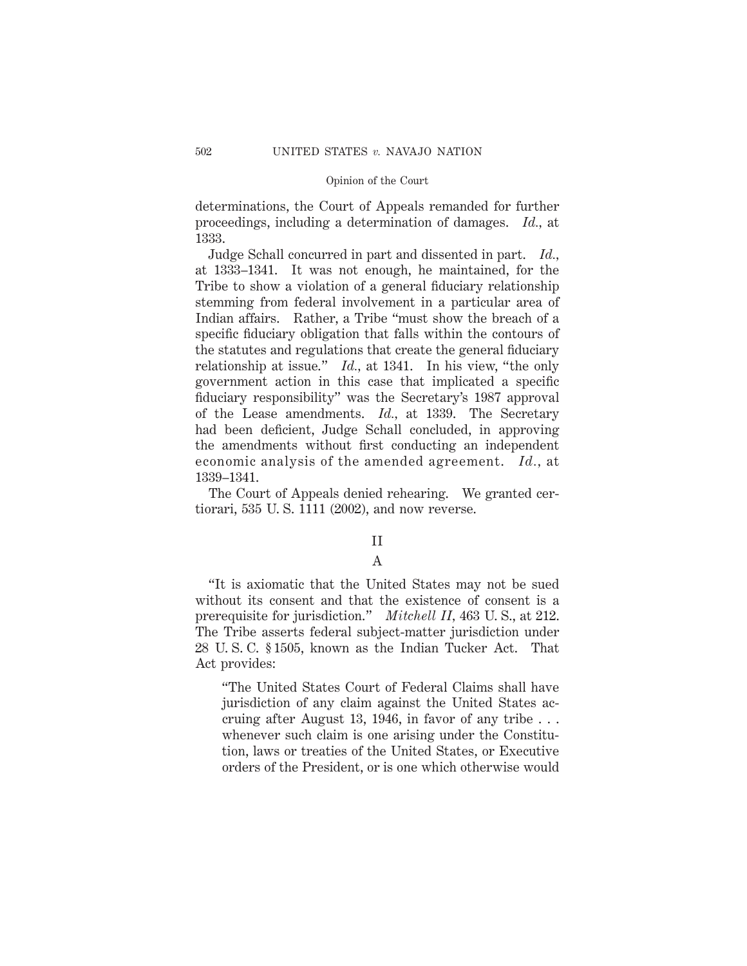determinations, the Court of Appeals remanded for further proceedings, including a determination of damages. *Id.,* at 1333.

Judge Schall concurred in part and dissented in part. *Id.,* at 1333–1341. It was not enough, he maintained, for the Tribe to show a violation of a general fiduciary relationship stemming from federal involvement in a particular area of Indian affairs. Rather, a Tribe "must show the breach of a specific fiduciary obligation that falls within the contours of the statutes and regulations that create the general fiduciary relationship at issue." *Id.,* at 1341. In his view, "the only government action in this case that implicated a specific fiduciary responsibility" was the Secretary's 1987 approval of the Lease amendments. *Id.,* at 1339. The Secretary had been deficient, Judge Schall concluded, in approving the amendments without first conducting an independent economic analysis of the amended agreement. *Id.,* at 1339–1341.

The Court of Appeals denied rehearing. We granted certiorari, 535 U. S. 1111 (2002), and now reverse.

# II

# A

"It is axiomatic that the United States may not be sued without its consent and that the existence of consent is a prerequisite for jurisdiction." *Mitchell II,* 463 U. S., at 212. The Tribe asserts federal subject-matter jurisdiction under 28 U. S. C. § 1505, known as the Indian Tucker Act. That Act provides:

"The United States Court of Federal Claims shall have jurisdiction of any claim against the United States accruing after August 13, 1946, in favor of any tribe . . . whenever such claim is one arising under the Constitution, laws or treaties of the United States, or Executive orders of the President, or is one which otherwise would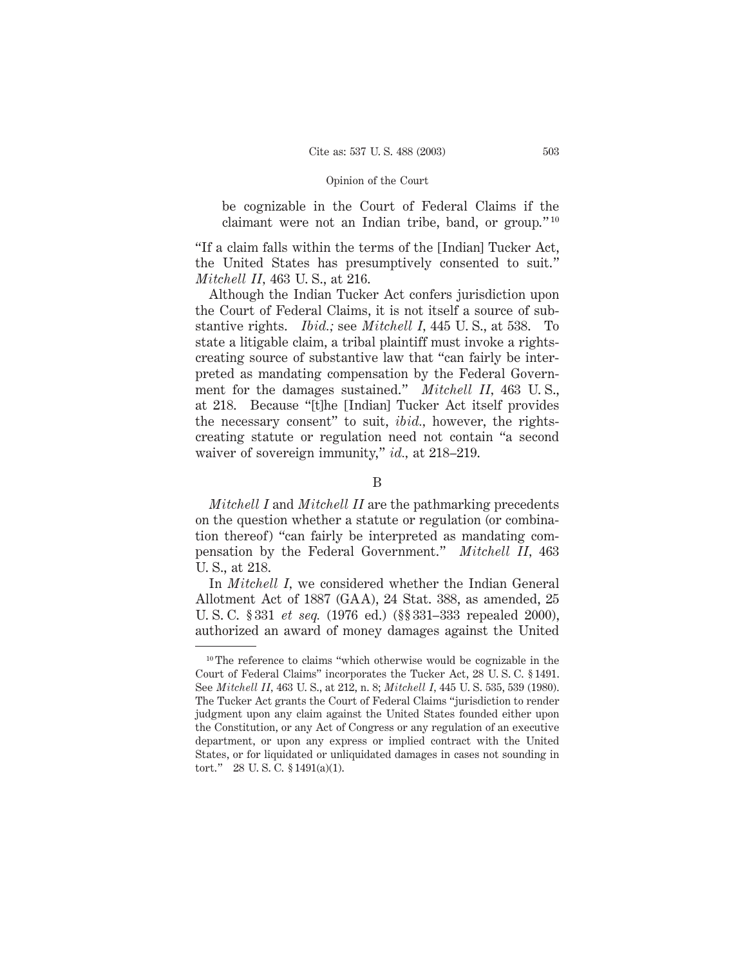be cognizable in the Court of Federal Claims if the claimant were not an Indian tribe, band, or group." <sup>10</sup>

"If a claim falls within the terms of the [Indian] Tucker Act, the United States has presumptively consented to suit." *Mitchell II,* 463 U. S., at 216.

Although the Indian Tucker Act confers jurisdiction upon the Court of Federal Claims, it is not itself a source of substantive rights. *Ibid.;* see *Mitchell I,* 445 U. S., at 538. To state a litigable claim, a tribal plaintiff must invoke a rightscreating source of substantive law that "can fairly be interpreted as mandating compensation by the Federal Government for the damages sustained." *Mitchell II,* 463 U. S., at 218. Because "[t]he [Indian] Tucker Act itself provides the necessary consent" to suit, *ibid.,* however, the rightscreating statute or regulation need not contain "a second waiver of sovereign immunity," *id.,* at 218–219.

B

*Mitchell I* and *Mitchell II* are the pathmarking precedents on the question whether a statute or regulation (or combination thereof) "can fairly be interpreted as mandating compensation by the Federal Government." *Mitchell II,* 463 U. S., at 218.

In *Mitchell I,* we considered whether the Indian General Allotment Act of 1887 (GAA), 24 Stat. 388, as amended, 25 U. S. C. § 331 *et seq.* (1976 ed.) (§§ 331–333 repealed 2000), authorized an award of money damages against the United

 $10$  The reference to claims "which otherwise would be cognizable in the Court of Federal Claims" incorporates the Tucker Act, 28 U. S. C. § 1491. See *Mitchell II,* 463 U. S., at 212, n. 8; *Mitchell I,* 445 U. S. 535, 539 (1980). The Tucker Act grants the Court of Federal Claims "jurisdiction to render judgment upon any claim against the United States founded either upon the Constitution, or any Act of Congress or any regulation of an executive department, or upon any express or implied contract with the United States, or for liquidated or unliquidated damages in cases not sounding in tort." 28 U. S. C. § 1491(a)(1).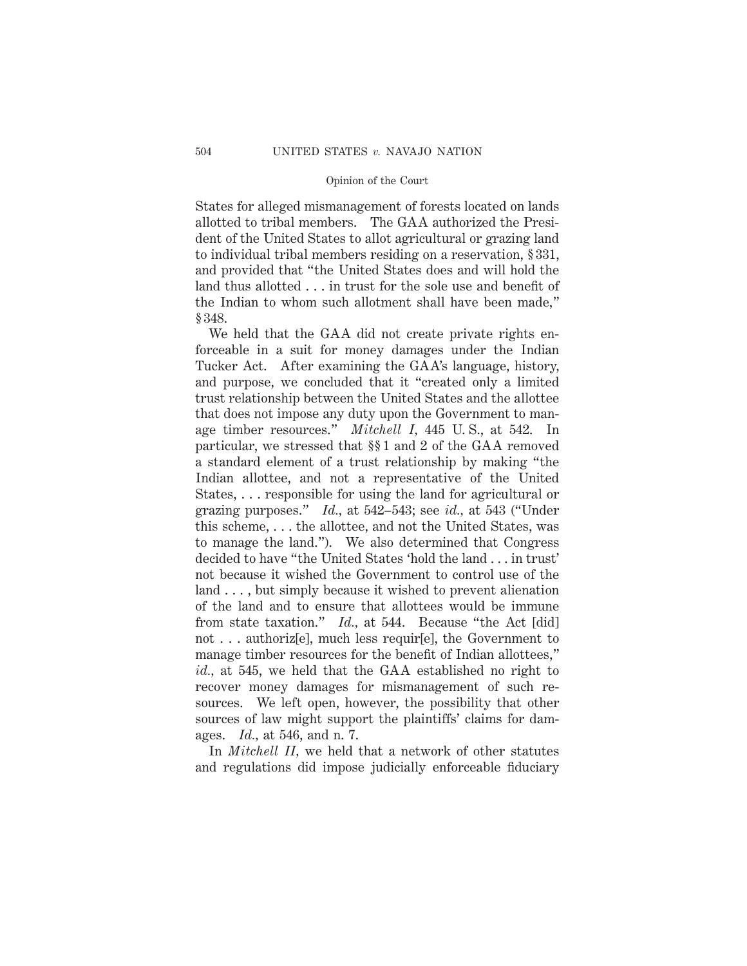States for alleged mismanagement of forests located on lands allotted to tribal members. The GAA authorized the President of the United States to allot agricultural or grazing land to individual tribal members residing on a reservation, § 331, and provided that "the United States does and will hold the land thus allotted . . . in trust for the sole use and benefit of the Indian to whom such allotment shall have been made," § 348.

We held that the GAA did not create private rights enforceable in a suit for money damages under the Indian Tucker Act. After examining the GAA's language, history, and purpose, we concluded that it "created only a limited trust relationship between the United States and the allottee that does not impose any duty upon the Government to manage timber resources." *Mitchell I,* 445 U. S., at 542. In particular, we stressed that §§ 1 and 2 of the GAA removed a standard element of a trust relationship by making "the Indian allottee, and not a representative of the United States, . . . responsible for using the land for agricultural or grazing purposes." *Id.,* at 542–543; see *id.,* at 543 ("Under this scheme, . . . the allottee, and not the United States, was to manage the land."). We also determined that Congress decided to have "the United States 'hold the land . . . in trust' not because it wished the Government to control use of the land . . . , but simply because it wished to prevent alienation of the land and to ensure that allottees would be immune from state taxation." *Id.,* at 544. Because "the Act [did] not . . . authoriz[e], much less requir[e], the Government to manage timber resources for the benefit of Indian allottees," *id.,* at 545, we held that the GAA established no right to recover money damages for mismanagement of such resources. We left open, however, the possibility that other sources of law might support the plaintiffs' claims for damages. *Id.,* at 546, and n. 7.

In *Mitchell II,* we held that a network of other statutes and regulations did impose judicially enforceable fiduciary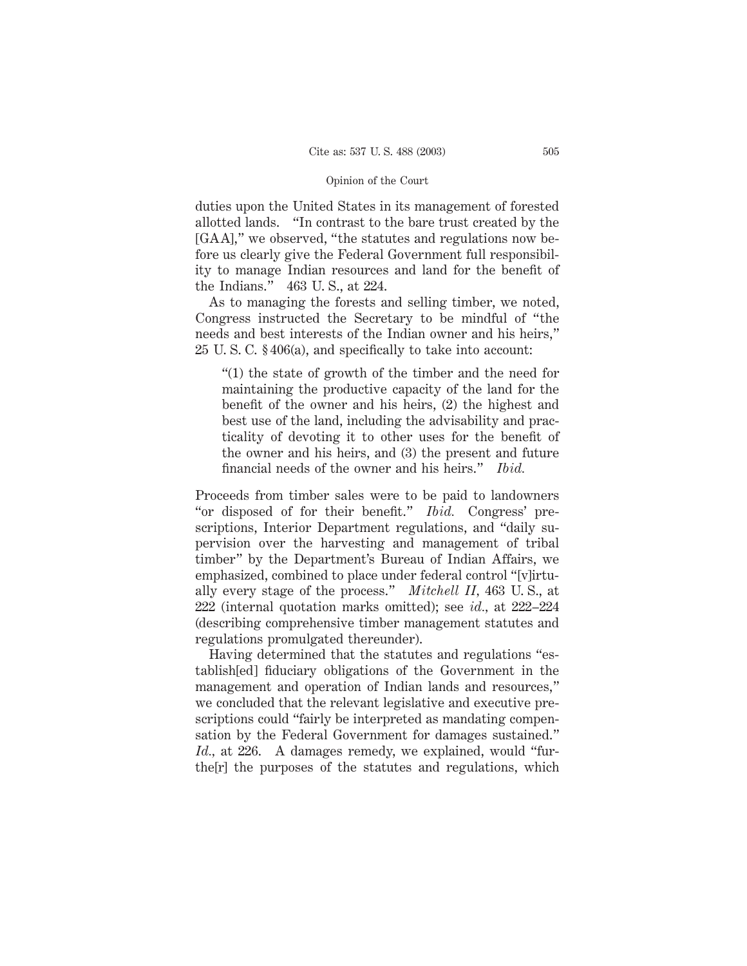duties upon the United States in its management of forested allotted lands. "In contrast to the bare trust created by the [GAA]," we observed, "the statutes and regulations now before us clearly give the Federal Government full responsibility to manage Indian resources and land for the benefit of the Indians." 463 U. S., at 224.

As to managing the forests and selling timber, we noted, Congress instructed the Secretary to be mindful of "the needs and best interests of the Indian owner and his heirs," 25 U. S. C. § 406(a), and specifically to take into account:

"(1) the state of growth of the timber and the need for maintaining the productive capacity of the land for the benefit of the owner and his heirs, (2) the highest and best use of the land, including the advisability and practicality of devoting it to other uses for the benefit of the owner and his heirs, and (3) the present and future financial needs of the owner and his heirs." *Ibid.*

Proceeds from timber sales were to be paid to landowners "or disposed of for their benefit." *Ibid.* Congress' prescriptions, Interior Department regulations, and "daily supervision over the harvesting and management of tribal timber" by the Department's Bureau of Indian Affairs, we emphasized, combined to place under federal control "[v]irtually every stage of the process." *Mitchell II,* 463 U. S., at 222 (internal quotation marks omitted); see *id.,* at 222–224 (describing comprehensive timber management statutes and regulations promulgated thereunder).

Having determined that the statutes and regulations "establish[ed] fiduciary obligations of the Government in the management and operation of Indian lands and resources," we concluded that the relevant legislative and executive prescriptions could "fairly be interpreted as mandating compensation by the Federal Government for damages sustained." *Id.,* at 226. A damages remedy, we explained, would "furthe[r] the purposes of the statutes and regulations, which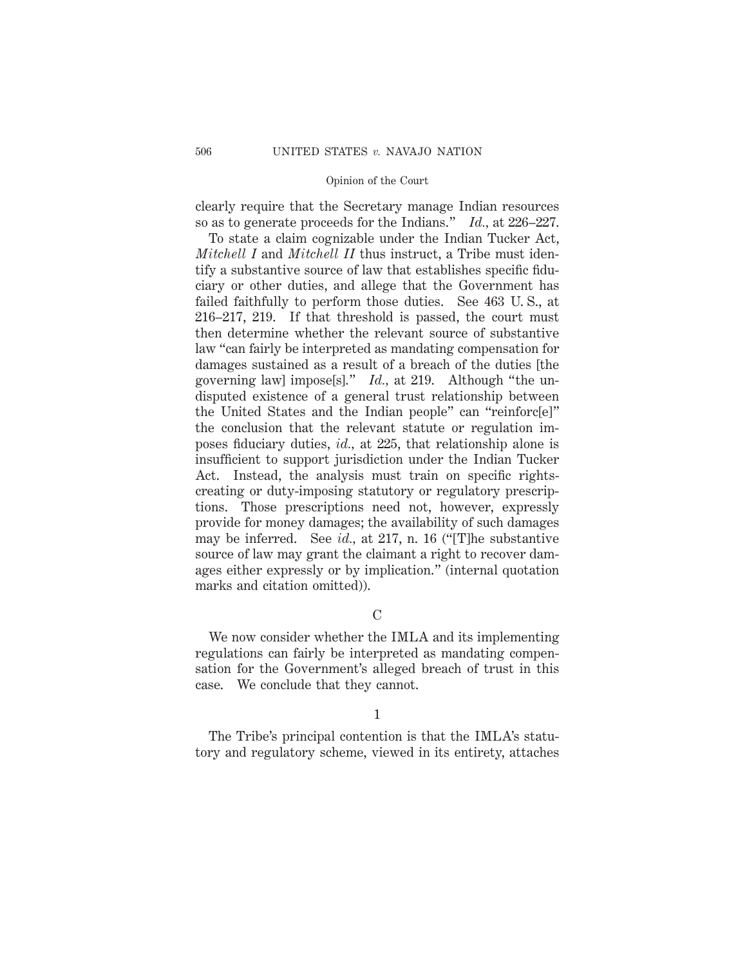clearly require that the Secretary manage Indian resources so as to generate proceeds for the Indians." *Id.,* at 226–227.

To state a claim cognizable under the Indian Tucker Act, *Mitchell I* and *Mitchell II* thus instruct, a Tribe must identify a substantive source of law that establishes specific fiduciary or other duties, and allege that the Government has failed faithfully to perform those duties. See 463 U. S., at 216–217, 219. If that threshold is passed, the court must then determine whether the relevant source of substantive law "can fairly be interpreted as mandating compensation for damages sustained as a result of a breach of the duties [the governing law] impose[s]." *Id.,* at 219. Although "the undisputed existence of a general trust relationship between the United States and the Indian people" can "reinforc[e]" the conclusion that the relevant statute or regulation imposes fiduciary duties, *id.,* at 225, that relationship alone is insufficient to support jurisdiction under the Indian Tucker Act. Instead, the analysis must train on specific rightscreating or duty-imposing statutory or regulatory prescriptions. Those prescriptions need not, however, expressly provide for money damages; the availability of such damages may be inferred. See *id.,* at 217, n. 16 ("[T]he substantive source of law may grant the claimant a right to recover damages either expressly or by implication." (internal quotation marks and citation omitted)).

## $\mathcal{C}$

We now consider whether the IMLA and its implementing regulations can fairly be interpreted as mandating compensation for the Government's alleged breach of trust in this case. We conclude that they cannot.

#### 1

The Tribe's principal contention is that the IMLA's statutory and regulatory scheme, viewed in its entirety, attaches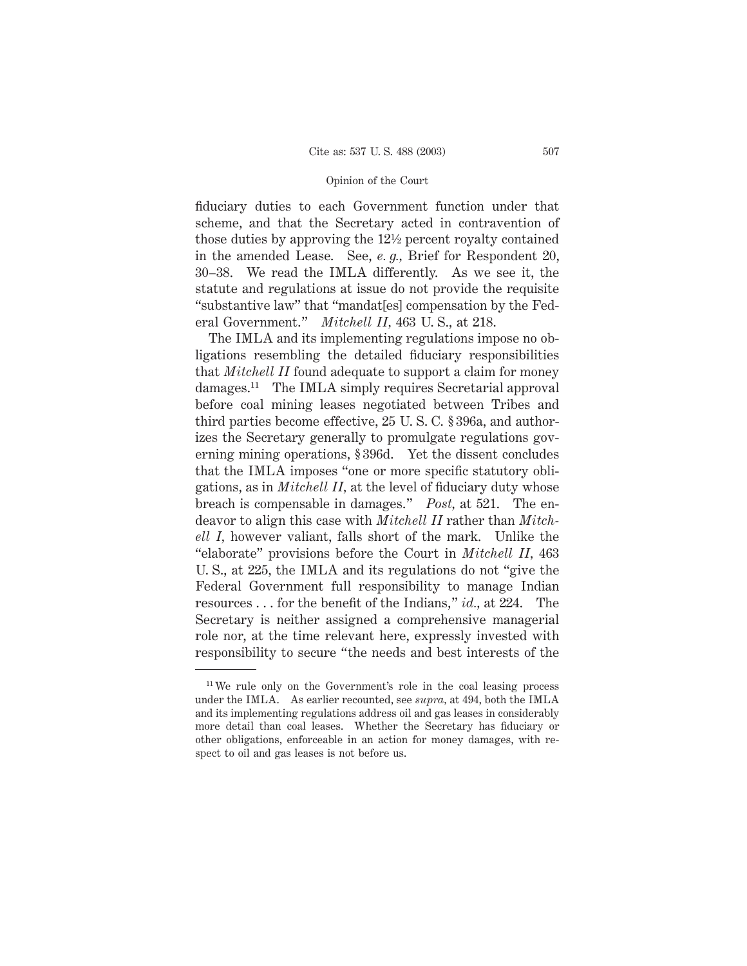fiduciary duties to each Government function under that scheme, and that the Secretary acted in contravention of those duties by approving the 121⁄2 percent royalty contained in the amended Lease. See, *e. g.,* Brief for Respondent 20, 30–38. We read the IMLA differently. As we see it, the statute and regulations at issue do not provide the requisite "substantive law" that "mandat[es] compensation by the Federal Government." *Mitchell II,* 463 U. S., at 218.

The IMLA and its implementing regulations impose no obligations resembling the detailed fiduciary responsibilities that *Mitchell II* found adequate to support a claim for money damages.11 The IMLA simply requires Secretarial approval before coal mining leases negotiated between Tribes and third parties become effective, 25 U. S. C. § 396a, and authorizes the Secretary generally to promulgate regulations governing mining operations, § 396d. Yet the dissent concludes that the IMLA imposes "one or more specific statutory obligations, as in *Mitchell II,* at the level of fiduciary duty whose breach is compensable in damages." *Post,* at 521. The endeavor to align this case with *Mitchell II* rather than *Mitchell I,* however valiant, falls short of the mark. Unlike the "elaborate" provisions before the Court in *Mitchell II,* 463 U. S., at 225, the IMLA and its regulations do not "give the Federal Government full responsibility to manage Indian resources . . . for the benefit of the Indians," *id.,* at 224. The Secretary is neither assigned a comprehensive managerial role nor, at the time relevant here, expressly invested with responsibility to secure "the needs and best interests of the

<sup>&</sup>lt;sup>11</sup> We rule only on the Government's role in the coal leasing process under the IMLA. As earlier recounted, see *supra,* at 494, both the IMLA and its implementing regulations address oil and gas leases in considerably more detail than coal leases. Whether the Secretary has fiduciary or other obligations, enforceable in an action for money damages, with respect to oil and gas leases is not before us.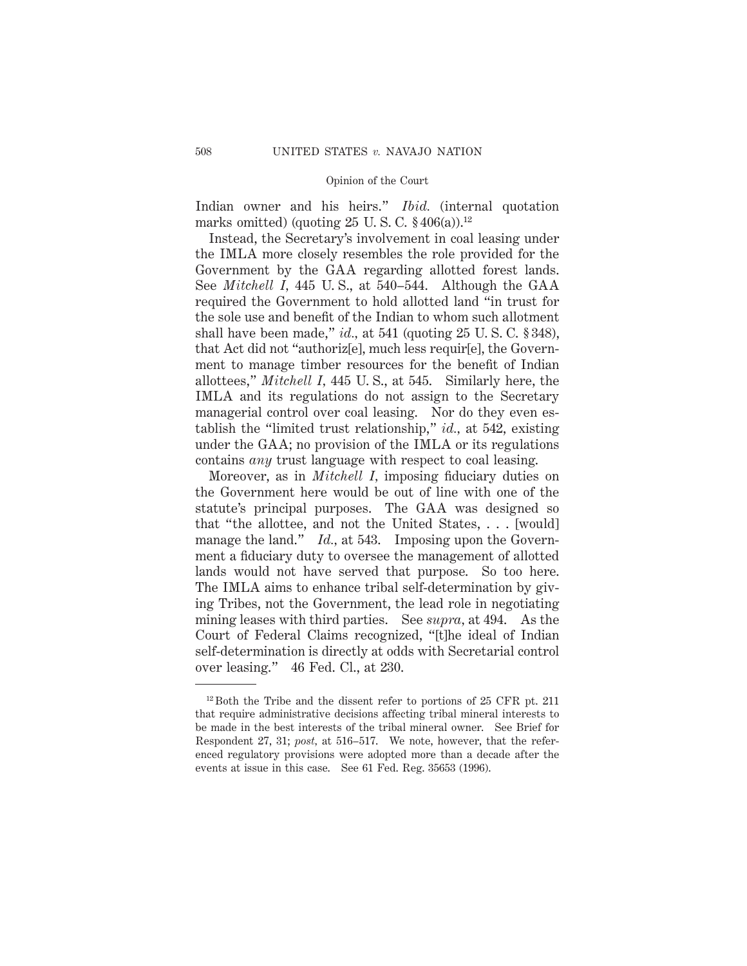Indian owner and his heirs." *Ibid.* (internal quotation marks omitted) (quoting  $25 \text{ U.S. C. }$  \$406(a)).<sup>12</sup>

Instead, the Secretary's involvement in coal leasing under the IMLA more closely resembles the role provided for the Government by the GAA regarding allotted forest lands. See *Mitchell I,* 445 U. S., at 540–544. Although the GAA required the Government to hold allotted land "in trust for the sole use and benefit of the Indian to whom such allotment shall have been made," *id.,* at 541 (quoting 25 U. S. C. § 348), that Act did not "authoriz[e], much less requir[e], the Government to manage timber resources for the benefit of Indian allottees," *Mitchell I,* 445 U. S., at 545. Similarly here, the IMLA and its regulations do not assign to the Secretary managerial control over coal leasing. Nor do they even establish the "limited trust relationship," *id.,* at 542, existing under the GAA; no provision of the IMLA or its regulations contains *any* trust language with respect to coal leasing.

Moreover, as in *Mitchell I,* imposing fiduciary duties on the Government here would be out of line with one of the statute's principal purposes. The GAA was designed so that "the allottee, and not the United States, . . . [would] manage the land." *Id.*, at 543. Imposing upon the Government a fiduciary duty to oversee the management of allotted lands would not have served that purpose. So too here. The IMLA aims to enhance tribal self-determination by giving Tribes, not the Government, the lead role in negotiating mining leases with third parties. See *supra,* at 494. As the Court of Federal Claims recognized, "[t]he ideal of Indian self-determination is directly at odds with Secretarial control over leasing." 46 Fed. Cl., at 230.

 $12$  Both the Tribe and the dissent refer to portions of 25 CFR pt. 211 that require administrative decisions affecting tribal mineral interests to be made in the best interests of the tribal mineral owner. See Brief for Respondent 27, 31; *post,* at 516–517. We note, however, that the referenced regulatory provisions were adopted more than a decade after the events at issue in this case. See 61 Fed. Reg. 35653 (1996).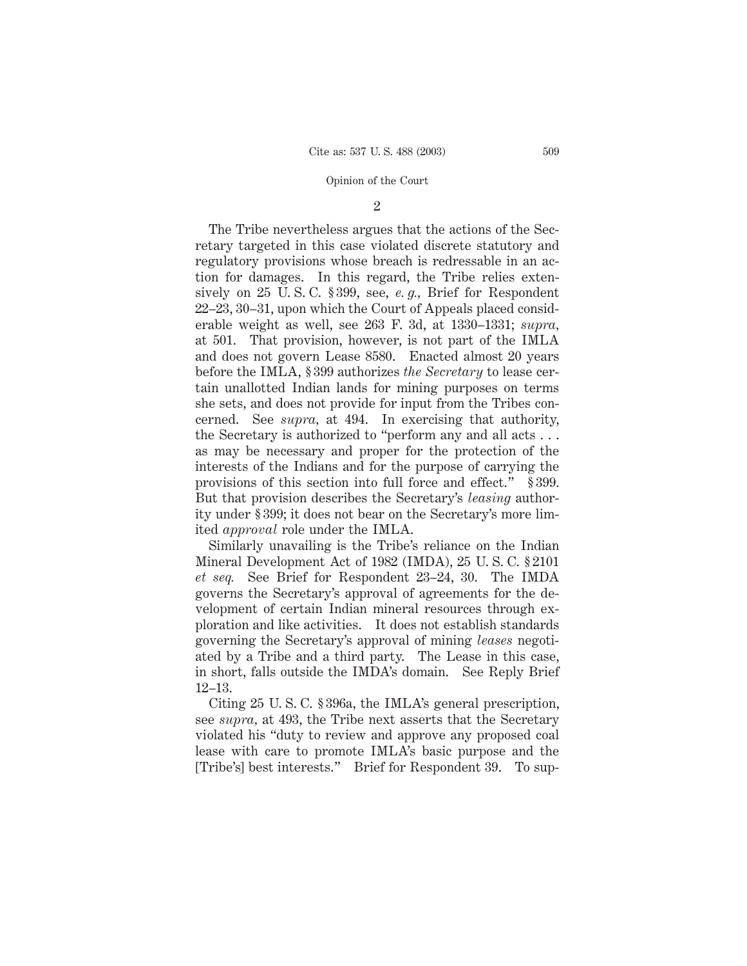#### 2

The Tribe nevertheless argues that the actions of the Secretary targeted in this case violated discrete statutory and regulatory provisions whose breach is redressable in an action for damages. In this regard, the Tribe relies extensively on 25 U. S. C. § 399, see, *e. g.,* Brief for Respondent 22–23, 30–31, upon which the Court of Appeals placed considerable weight as well, see 263 F. 3d, at 1330–1331; *supra,* at 501. That provision, however, is not part of the IMLA and does not govern Lease 8580. Enacted almost 20 years before the IMLA, § 399 authorizes *the Secretary* to lease certain unallotted Indian lands for mining purposes on terms she sets, and does not provide for input from the Tribes concerned. See *supra,* at 494. In exercising that authority, the Secretary is authorized to "perform any and all acts . . . as may be necessary and proper for the protection of the interests of the Indians and for the purpose of carrying the provisions of this section into full force and effect." § 399. But that provision describes the Secretary's *leasing* authority under § 399; it does not bear on the Secretary's more limited *approval* role under the IMLA.

Similarly unavailing is the Tribe's reliance on the Indian Mineral Development Act of 1982 (IMDA), 25 U. S. C. § 2101 *et seq.* See Brief for Respondent 23–24, 30. The IMDA governs the Secretary's approval of agreements for the development of certain Indian mineral resources through exploration and like activities. It does not establish standards governing the Secretary's approval of mining *leases* negotiated by a Tribe and a third party. The Lease in this case, in short, falls outside the IMDA's domain. See Reply Brief 12–13.

Citing 25 U. S. C. § 396a, the IMLA's general prescription, see *supra,* at 493, the Tribe next asserts that the Secretary violated his "duty to review and approve any proposed coal lease with care to promote IMLA's basic purpose and the [Tribe's] best interests." Brief for Respondent 39. To sup-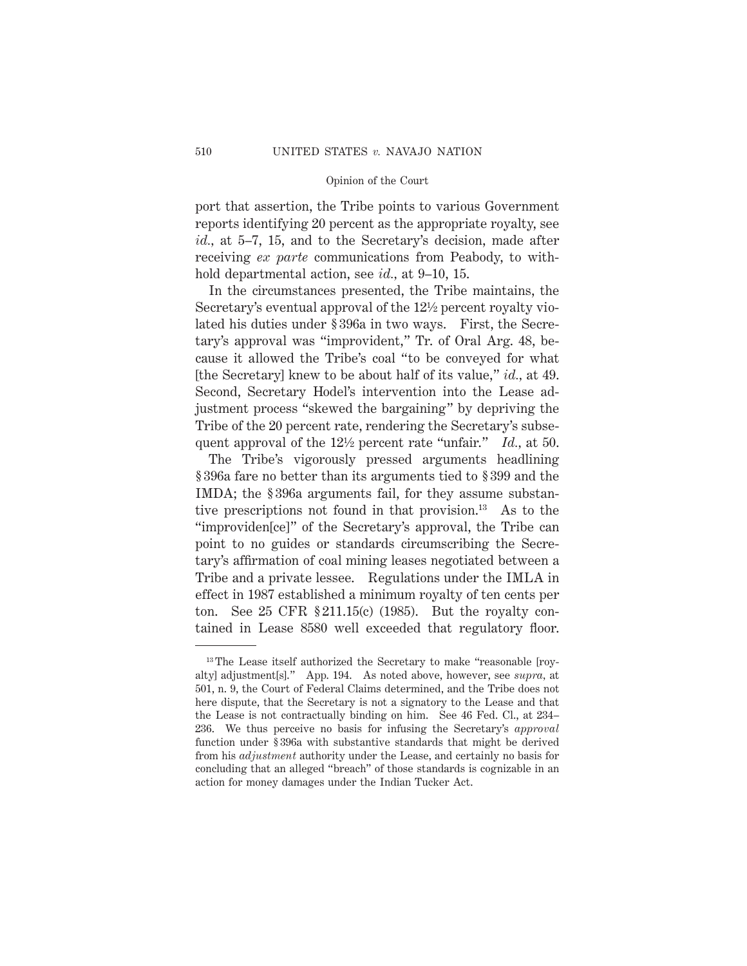port that assertion, the Tribe points to various Government reports identifying 20 percent as the appropriate royalty, see *id.,* at 5–7, 15, and to the Secretary's decision, made after receiving *ex parte* communications from Peabody, to withhold departmental action, see *id.,* at 9–10, 15.

In the circumstances presented, the Tribe maintains, the Secretary's eventual approval of the 121⁄2 percent royalty violated his duties under § 396a in two ways. First, the Secretary's approval was "improvident," Tr. of Oral Arg. 48, because it allowed the Tribe's coal "to be conveyed for what [the Secretary] knew to be about half of its value," *id.,* at 49. Second, Secretary Hodel's intervention into the Lease adjustment process "skewed the bargaining" by depriving the Tribe of the 20 percent rate, rendering the Secretary's subsequent approval of the 121⁄2 percent rate "unfair." *Id.,* at 50.

The Tribe's vigorously pressed arguments headlining § 396a fare no better than its arguments tied to § 399 and the IMDA; the § 396a arguments fail, for they assume substantive prescriptions not found in that provision.13 As to the "improviden[ce]" of the Secretary's approval, the Tribe can point to no guides or standards circumscribing the Secretary's affirmation of coal mining leases negotiated between a Tribe and a private lessee. Regulations under the IMLA in effect in 1987 established a minimum royalty of ten cents per ton. See 25 CFR § 211.15(c) (1985). But the royalty contained in Lease 8580 well exceeded that regulatory floor.

<sup>&</sup>lt;sup>13</sup> The Lease itself authorized the Secretary to make "reasonable [royalty] adjustment[s]." App. 194. As noted above, however, see *supra,* at 501, n. 9, the Court of Federal Claims determined, and the Tribe does not here dispute, that the Secretary is not a signatory to the Lease and that the Lease is not contractually binding on him. See 46 Fed. Cl., at 234– 236. We thus perceive no basis for infusing the Secretary's *approval* function under § 396a with substantive standards that might be derived from his *adjustment* authority under the Lease, and certainly no basis for concluding that an alleged "breach" of those standards is cognizable in an action for money damages under the Indian Tucker Act.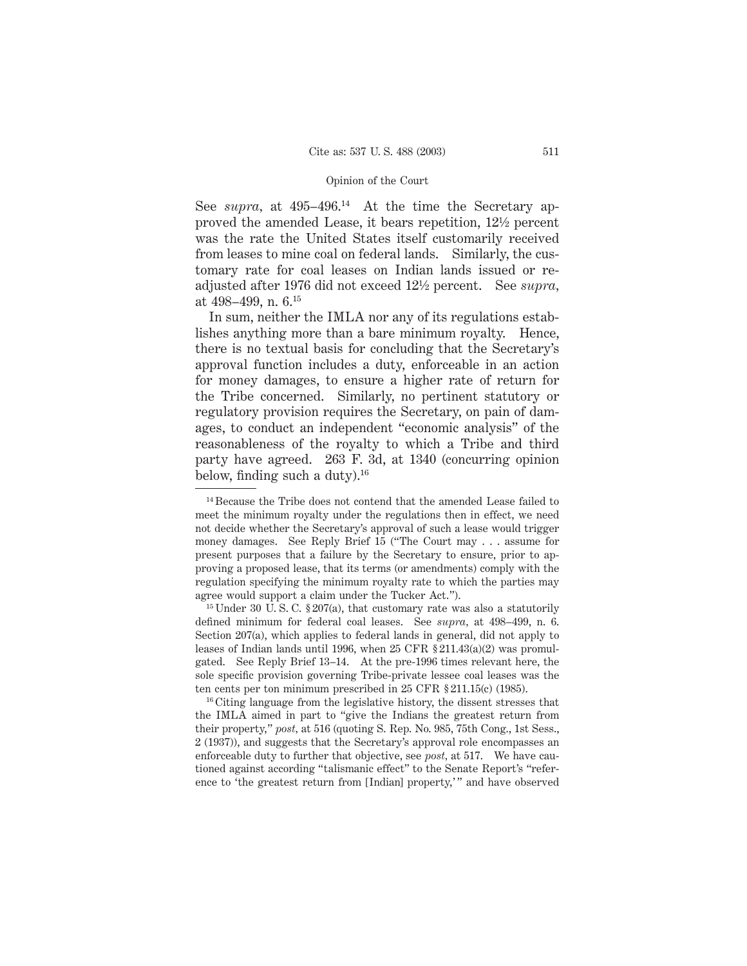See *supra*, at 495–496.<sup>14</sup> At the time the Secretary approved the amended Lease, it bears repetition, 121⁄2 percent was the rate the United States itself customarily received from leases to mine coal on federal lands. Similarly, the customary rate for coal leases on Indian lands issued or readjusted after 1976 did not exceed 121⁄2 percent. See *supra,* at 498–499, n. 6.15

In sum, neither the IMLA nor any of its regulations establishes anything more than a bare minimum royalty. Hence, there is no textual basis for concluding that the Secretary's approval function includes a duty, enforceable in an action for money damages, to ensure a higher rate of return for the Tribe concerned. Similarly, no pertinent statutory or regulatory provision requires the Secretary, on pain of damages, to conduct an independent "economic analysis" of the reasonableness of the royalty to which a Tribe and third party have agreed. 263 F. 3d, at 1340 (concurring opinion below, finding such a duty). $^{16}$ 

<sup>&</sup>lt;sup>14</sup> Because the Tribe does not contend that the amended Lease failed to meet the minimum royalty under the regulations then in effect, we need not decide whether the Secretary's approval of such a lease would trigger money damages. See Reply Brief 15 ("The Court may... assume for present purposes that a failure by the Secretary to ensure, prior to approving a proposed lease, that its terms (or amendments) comply with the regulation specifying the minimum royalty rate to which the parties may agree would support a claim under the Tucker Act.").

<sup>&</sup>lt;sup>15</sup> Under 30 U.S.C. § 207(a), that customary rate was also a statutorily defined minimum for federal coal leases. See *supra,* at 498–499, n. 6. Section 207(a), which applies to federal lands in general, did not apply to leases of Indian lands until 1996, when 25 CFR § 211.43(a)(2) was promulgated. See Reply Brief 13–14. At the pre-1996 times relevant here, the sole specific provision governing Tribe-private lessee coal leases was the ten cents per ton minimum prescribed in 25 CFR § 211.15(c) (1985).

<sup>&</sup>lt;sup>16</sup> Citing language from the legislative history, the dissent stresses that the IMLA aimed in part to "give the Indians the greatest return from their property," *post,* at 516 (quoting S. Rep. No. 985, 75th Cong., 1st Sess., 2 (1937)), and suggests that the Secretary's approval role encompasses an enforceable duty to further that objective, see *post,* at 517. We have cautioned against according "talismanic effect" to the Senate Report's "reference to 'the greatest return from [Indian] property,' " and have observed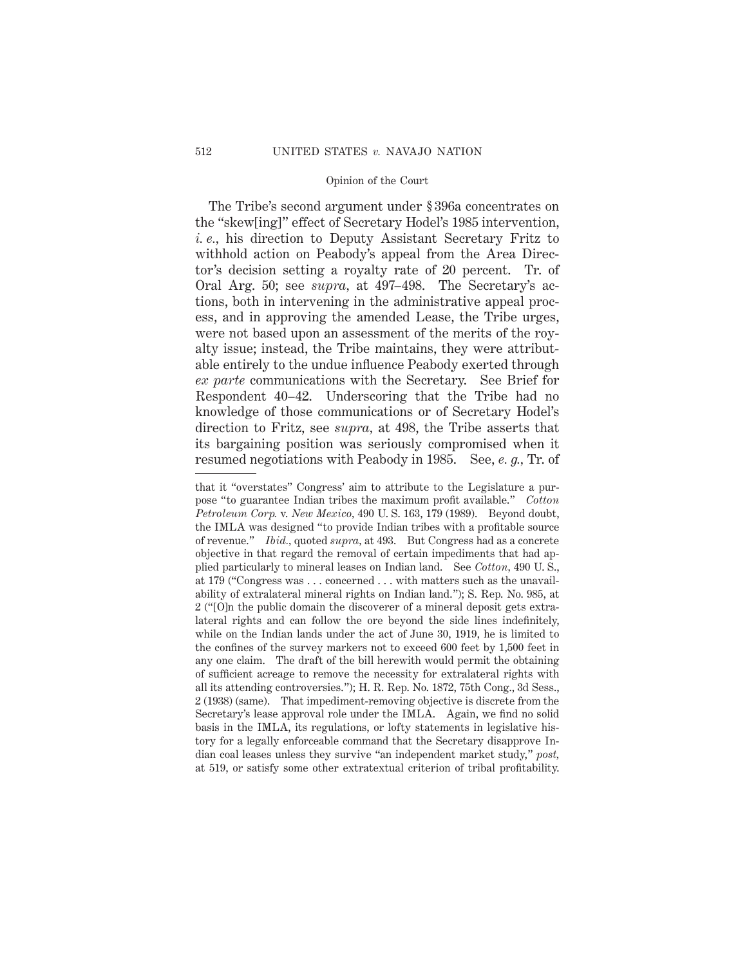The Tribe's second argument under § 396a concentrates on the "skew[ing]" effect of Secretary Hodel's 1985 intervention, *i. e.,* his direction to Deputy Assistant Secretary Fritz to withhold action on Peabody's appeal from the Area Director's decision setting a royalty rate of 20 percent. Tr. of Oral Arg. 50; see *supra,* at 497–498. The Secretary's actions, both in intervening in the administrative appeal process, and in approving the amended Lease, the Tribe urges, were not based upon an assessment of the merits of the royalty issue; instead, the Tribe maintains, they were attributable entirely to the undue influence Peabody exerted through *ex parte* communications with the Secretary. See Brief for Respondent 40–42. Underscoring that the Tribe had no knowledge of those communications or of Secretary Hodel's direction to Fritz, see *supra,* at 498, the Tribe asserts that its bargaining position was seriously compromised when it resumed negotiations with Peabody in 1985. See, *e. g.,* Tr. of

that it "overstates" Congress' aim to attribute to the Legislature a purpose "to guarantee Indian tribes the maximum profit available." *Cotton Petroleum Corp.* v. *New Mexico,* 490 U. S. 163, 179 (1989). Beyond doubt, the IMLA was designed "to provide Indian tribes with a profitable source of revenue." *Ibid.,* quoted *supra,* at 493. But Congress had as a concrete objective in that regard the removal of certain impediments that had applied particularly to mineral leases on Indian land. See *Cotton,* 490 U. S., at 179 ("Congress was... concerned . . . with matters such as the unavailability of extralateral mineral rights on Indian land."); S. Rep. No. 985, at 2 ("[O]n the public domain the discoverer of a mineral deposit gets extralateral rights and can follow the ore beyond the side lines indefinitely, while on the Indian lands under the act of June 30, 1919, he is limited to the confines of the survey markers not to exceed 600 feet by 1,500 feet in any one claim. The draft of the bill herewith would permit the obtaining of sufficient acreage to remove the necessity for extralateral rights with all its attending controversies."); H. R. Rep. No. 1872, 75th Cong., 3d Sess., 2 (1938) (same). That impediment-removing objective is discrete from the Secretary's lease approval role under the IMLA. Again, we find no solid basis in the IMLA, its regulations, or lofty statements in legislative history for a legally enforceable command that the Secretary disapprove Indian coal leases unless they survive "an independent market study," *post,* at 519, or satisfy some other extratextual criterion of tribal profitability.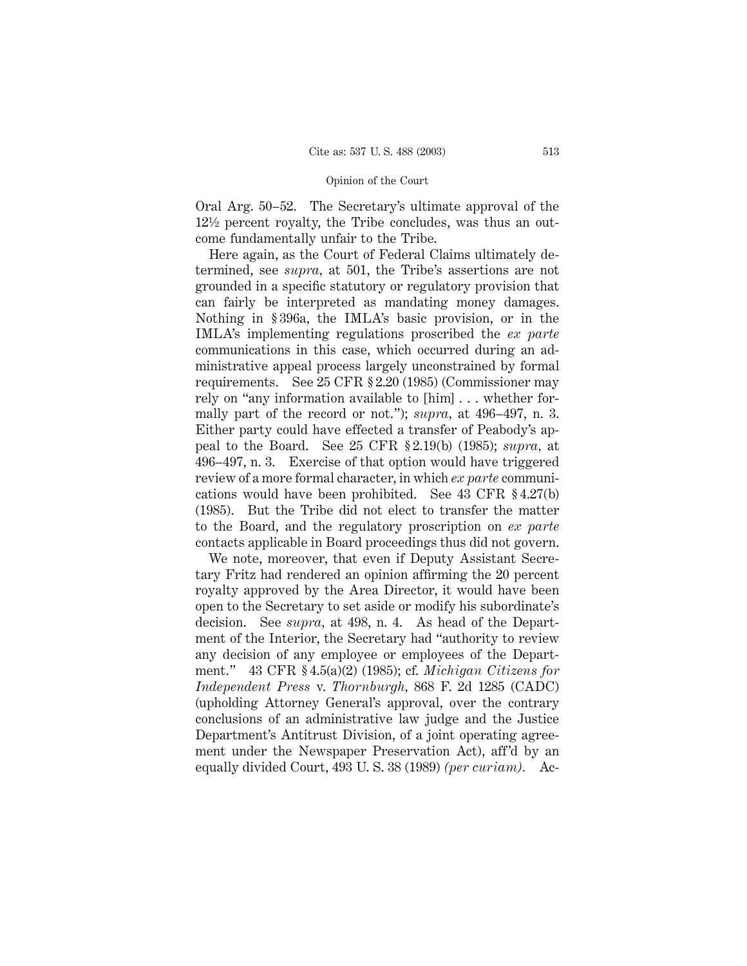Oral Arg. 50–52. The Secretary's ultimate approval of the 121⁄2 percent royalty, the Tribe concludes, was thus an outcome fundamentally unfair to the Tribe.

Here again, as the Court of Federal Claims ultimately determined, see *supra,* at 501, the Tribe's assertions are not grounded in a specific statutory or regulatory provision that can fairly be interpreted as mandating money damages. Nothing in § 396a, the IMLA's basic provision, or in the IMLA's implementing regulations proscribed the *ex parte* communications in this case, which occurred during an administrative appeal process largely unconstrained by formal requirements. See 25 CFR § 2.20 (1985) (Commissioner may rely on "any information available to [him]... whether formally part of the record or not."); *supra,* at 496–497, n. 3. Either party could have effected a transfer of Peabody's appeal to the Board. See 25 CFR § 2.19(b) (1985); *supra,* at 496–497, n. 3. Exercise of that option would have triggered review of a more formal character, in which *ex parte* communications would have been prohibited. See 43 CFR § 4.27(b) (1985). But the Tribe did not elect to transfer the matter to the Board, and the regulatory proscription on *ex parte* contacts applicable in Board proceedings thus did not govern.

We note, moreover, that even if Deputy Assistant Secretary Fritz had rendered an opinion affirming the 20 percent royalty approved by the Area Director, it would have been open to the Secretary to set aside or modify his subordinate's decision. See *supra,* at 498, n. 4. As head of the Department of the Interior, the Secretary had "authority to review any decision of any employee or employees of the Department." 43 CFR § 4.5(a)(2) (1985); cf. *Michigan Citizens for Independent Press* v. *Thornburgh,* 868 F. 2d 1285 (CADC) (upholding Attorney General's approval, over the contrary conclusions of an administrative law judge and the Justice Department's Antitrust Division, of a joint operating agreement under the Newspaper Preservation Act), aff'd by an equally divided Court, 493 U. S. 38 (1989) *(per curiam).* Ac-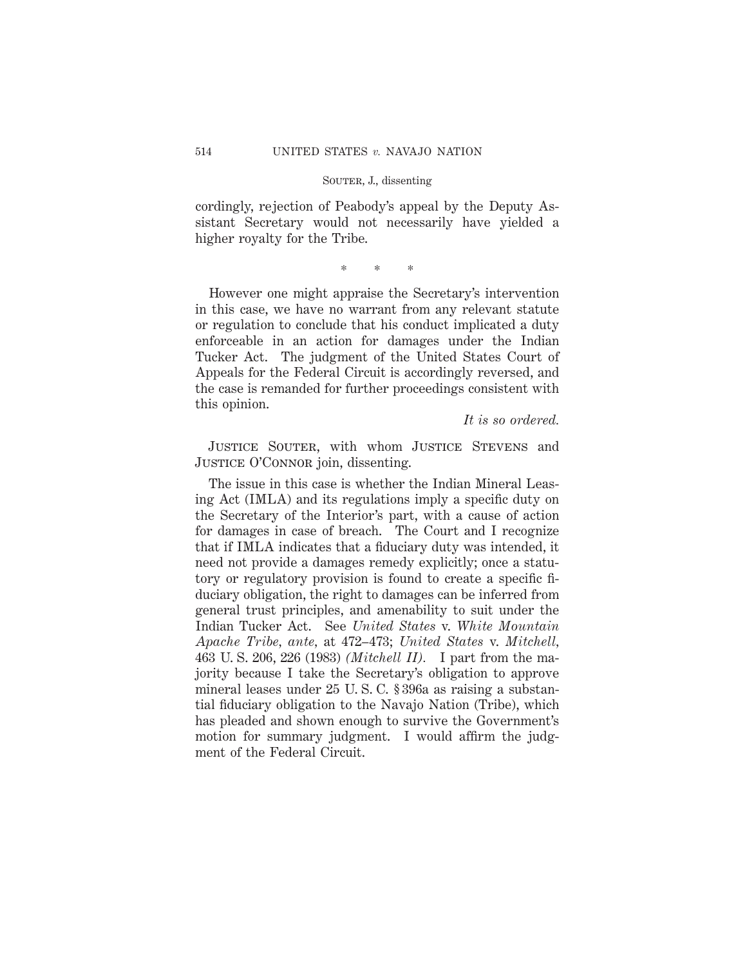cordingly, rejection of Peabody's appeal by the Deputy Assistant Secretary would not necessarily have yielded a higher royalty for the Tribe.

\*\*\*

However one might appraise the Secretary's intervention in this case, we have no warrant from any relevant statute or regulation to conclude that his conduct implicated a duty enforceable in an action for damages under the Indian Tucker Act. The judgment of the United States Court of Appeals for the Federal Circuit is accordingly reversed, and the case is remanded for further proceedings consistent with this opinion.

*It is so ordered.*

JUSTICE SOUTER, with whom JUSTICE STEVENS and JUSTICE O'CONNOR join, dissenting.

The issue in this case is whether the Indian Mineral Leasing Act (IMLA) and its regulations imply a specific duty on the Secretary of the Interior's part, with a cause of action for damages in case of breach. The Court and I recognize that if IMLA indicates that a fiduciary duty was intended, it need not provide a damages remedy explicitly; once a statutory or regulatory provision is found to create a specific fiduciary obligation, the right to damages can be inferred from general trust principles, and amenability to suit under the Indian Tucker Act. See *United States* v. *White Mountain Apache Tribe, ante,* at 472–473; *United States* v. *Mitchell,* 463 U. S. 206, 226 (1983) *(Mitchell II).* I part from the majority because I take the Secretary's obligation to approve mineral leases under 25 U. S. C. § 396a as raising a substantial fiduciary obligation to the Navajo Nation (Tribe), which has pleaded and shown enough to survive the Government's motion for summary judgment. I would affirm the judgment of the Federal Circuit.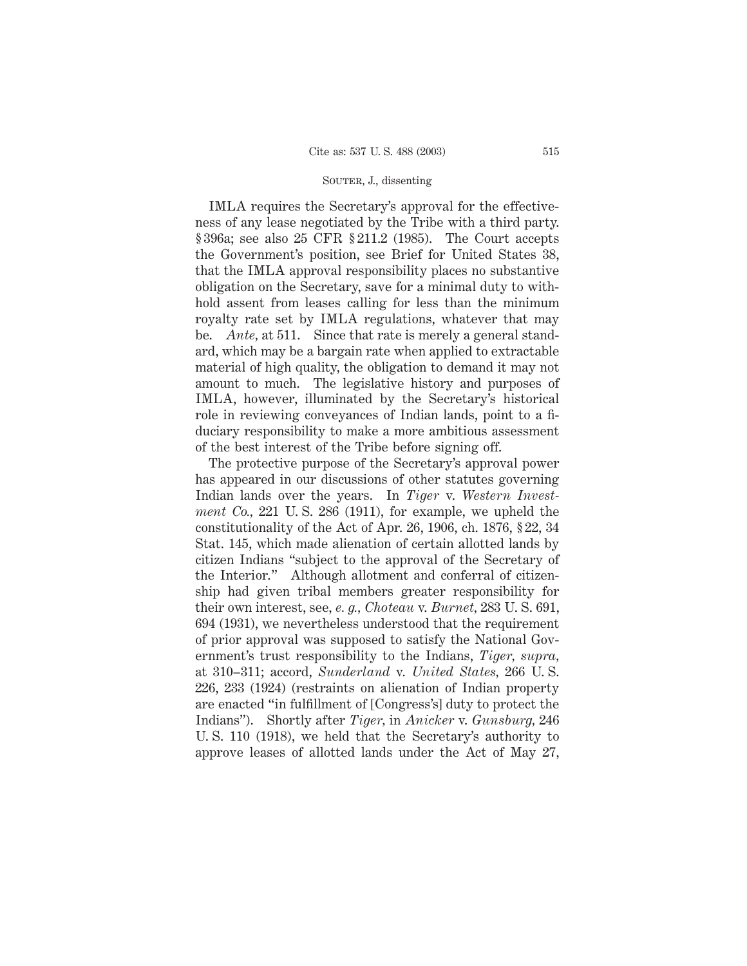IMLA requires the Secretary's approval for the effectiveness of any lease negotiated by the Tribe with a third party. § 396a; see also 25 CFR § 211.2 (1985). The Court accepts the Government's position, see Brief for United States 38, that the IMLA approval responsibility places no substantive obligation on the Secretary, save for a minimal duty to withhold assent from leases calling for less than the minimum royalty rate set by IMLA regulations, whatever that may be. *Ante,* at 511. Since that rate is merely a general standard, which may be a bargain rate when applied to extractable material of high quality, the obligation to demand it may not amount to much. The legislative history and purposes of IMLA, however, illuminated by the Secretary's historical role in reviewing conveyances of Indian lands, point to a fiduciary responsibility to make a more ambitious assessment of the best interest of the Tribe before signing off.

The protective purpose of the Secretary's approval power has appeared in our discussions of other statutes governing Indian lands over the years. In *Tiger* v. *Western Investment Co.,* 221 U. S. 286 (1911), for example, we upheld the constitutionality of the Act of Apr. 26, 1906, ch. 1876, § 22, 34 Stat. 145, which made alienation of certain allotted lands by citizen Indians "subject to the approval of the Secretary of the Interior." Although allotment and conferral of citizenship had given tribal members greater responsibility for their own interest, see, *e. g., Choteau* v. *Burnet,* 283 U. S. 691, 694 (1931), we nevertheless understood that the requirement of prior approval was supposed to satisfy the National Government's trust responsibility to the Indians, *Tiger, supra,* at 310–311; accord, *Sunderland* v. *United States,* 266 U. S. 226, 233 (1924) (restraints on alienation of Indian property are enacted "in fulfillment of [Congress's] duty to protect the Indians"). Shortly after *Tiger,* in *Anicker* v. *Gunsburg,* 246 U. S. 110 (1918), we held that the Secretary's authority to approve leases of allotted lands under the Act of May 27,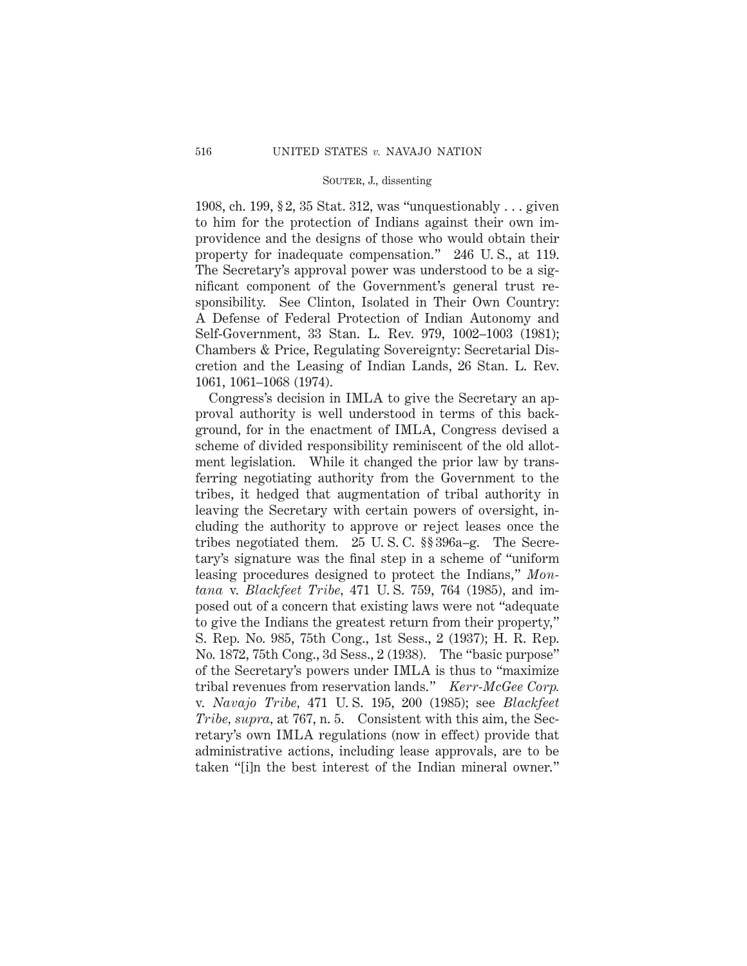1908, ch. 199, § 2, 35 Stat. 312, was "unquestionably . . . given to him for the protection of Indians against their own improvidence and the designs of those who would obtain their property for inadequate compensation." 246 U. S., at 119. The Secretary's approval power was understood to be a significant component of the Government's general trust responsibility. See Clinton, Isolated in Their Own Country: A Defense of Federal Protection of Indian Autonomy and Self-Government, 33 Stan. L. Rev. 979, 1002–1003 (1981); Chambers & Price, Regulating Sovereignty: Secretarial Discretion and the Leasing of Indian Lands, 26 Stan. L. Rev. 1061, 1061–1068 (1974).

Congress's decision in IMLA to give the Secretary an approval authority is well understood in terms of this background, for in the enactment of IMLA, Congress devised a scheme of divided responsibility reminiscent of the old allotment legislation. While it changed the prior law by transferring negotiating authority from the Government to the tribes, it hedged that augmentation of tribal authority in leaving the Secretary with certain powers of oversight, including the authority to approve or reject leases once the tribes negotiated them. 25 U. S. C. §§ 396a–g. The Secretary's signature was the final step in a scheme of "uniform leasing procedures designed to protect the Indians," *Montana* v. *Blackfeet Tribe,* 471 U. S. 759, 764 (1985), and imposed out of a concern that existing laws were not "adequate to give the Indians the greatest return from their property," S. Rep. No. 985, 75th Cong., 1st Sess., 2 (1937); H. R. Rep. No. 1872, 75th Cong., 3d Sess., 2 (1938). The "basic purpose" of the Secretary's powers under IMLA is thus to "maximize tribal revenues from reservation lands." *Kerr-McGee Corp.* v. *Navajo Tribe,* 471 U. S. 195, 200 (1985); see *Blackfeet Tribe, supra,* at 767, n. 5. Consistent with this aim, the Secretary's own IMLA regulations (now in effect) provide that administrative actions, including lease approvals, are to be taken "[i]n the best interest of the Indian mineral owner."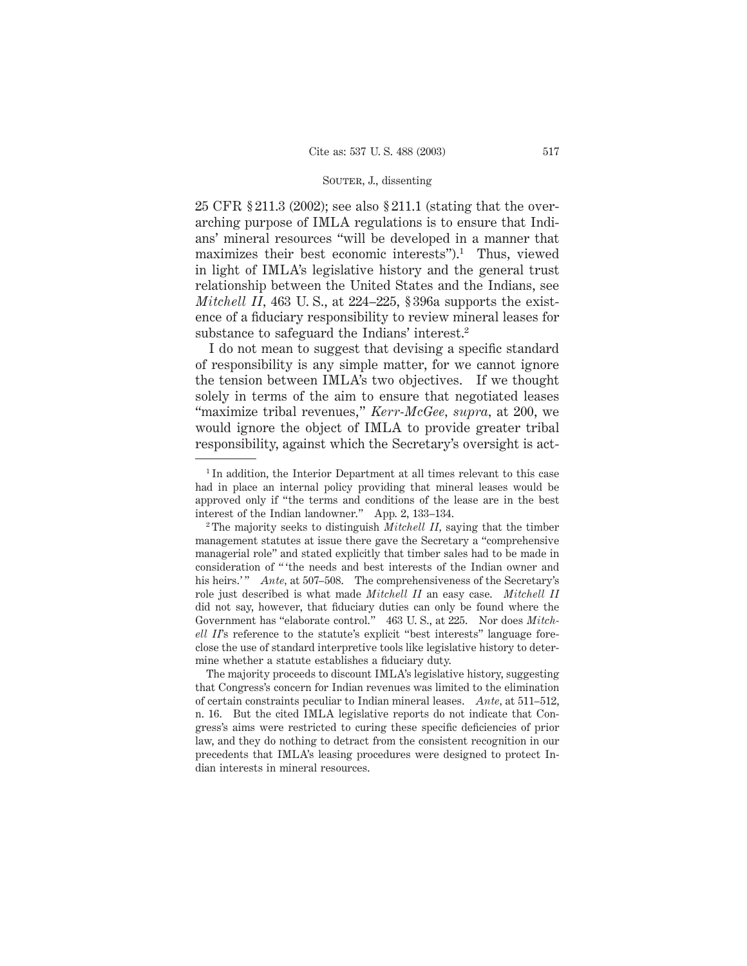25 CFR § 211.3 (2002); see also § 211.1 (stating that the overarching purpose of IMLA regulations is to ensure that Indians' mineral resources "will be developed in a manner that maximizes their best economic interests").<sup>1</sup> Thus, viewed in light of IMLA's legislative history and the general trust relationship between the United States and the Indians, see *Mitchell II,* 463 U. S., at 224–225, § 396a supports the existence of a fiduciary responsibility to review mineral leases for substance to safeguard the Indians' interest.2

I do not mean to suggest that devising a specific standard of responsibility is any simple matter, for we cannot ignore the tension between IMLA's two objectives. If we thought solely in terms of the aim to ensure that negotiated leases "maximize tribal revenues," *Kerr-McGee, supra,* at 200, we would ignore the object of IMLA to provide greater tribal responsibility, against which the Secretary's oversight is act-

<sup>&</sup>lt;sup>1</sup> In addition, the Interior Department at all times relevant to this case had in place an internal policy providing that mineral leases would be approved only if "the terms and conditions of the lease are in the best interest of the Indian landowner." App. 2, 133–134.

<sup>2</sup> The majority seeks to distinguish *Mitchell II,* saying that the timber management statutes at issue there gave the Secretary a "comprehensive managerial role" and stated explicitly that timber sales had to be made in consideration of " 'the needs and best interests of the Indian owner and his heirs.'" *Ante*, at 507–508. The comprehensiveness of the Secretary's role just described is what made *Mitchell II* an easy case. *Mitchell II* did not say, however, that fiduciary duties can only be found where the Government has "elaborate control." 463 U. S., at 225. Nor does *Mitchell II*'s reference to the statute's explicit "best interests" language foreclose the use of standard interpretive tools like legislative history to determine whether a statute establishes a fiduciary duty.

The majority proceeds to discount IMLA's legislative history, suggesting that Congress's concern for Indian revenues was limited to the elimination of certain constraints peculiar to Indian mineral leases. *Ante,* at 511–512, n. 16. But the cited IMLA legislative reports do not indicate that Congress's aims were restricted to curing these specific deficiencies of prior law, and they do nothing to detract from the consistent recognition in our precedents that IMLA's leasing procedures were designed to protect Indian interests in mineral resources.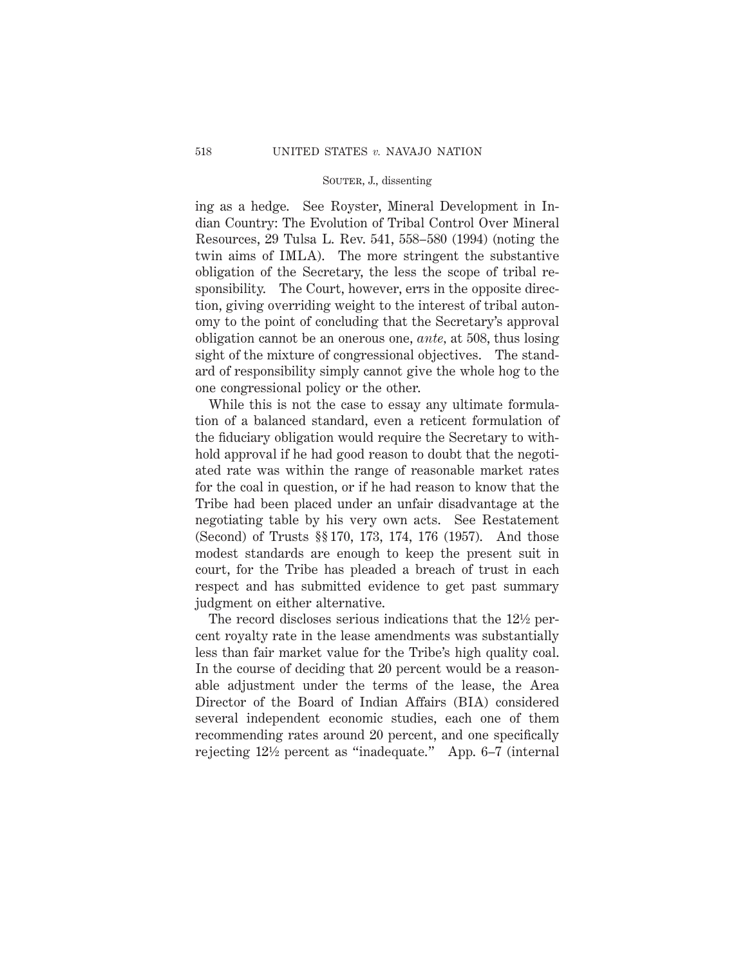ing as a hedge. See Royster, Mineral Development in Indian Country: The Evolution of Tribal Control Over Mineral Resources, 29 Tulsa L. Rev. 541, 558–580 (1994) (noting the twin aims of IMLA). The more stringent the substantive obligation of the Secretary, the less the scope of tribal responsibility. The Court, however, errs in the opposite direction, giving overriding weight to the interest of tribal autonomy to the point of concluding that the Secretary's approval obligation cannot be an onerous one, *ante,* at 508, thus losing sight of the mixture of congressional objectives. The standard of responsibility simply cannot give the whole hog to the one congressional policy or the other.

While this is not the case to essay any ultimate formulation of a balanced standard, even a reticent formulation of the fiduciary obligation would require the Secretary to withhold approval if he had good reason to doubt that the negotiated rate was within the range of reasonable market rates for the coal in question, or if he had reason to know that the Tribe had been placed under an unfair disadvantage at the negotiating table by his very own acts. See Restatement (Second) of Trusts §§ 170, 173, 174, 176 (1957). And those modest standards are enough to keep the present suit in court, for the Tribe has pleaded a breach of trust in each respect and has submitted evidence to get past summary judgment on either alternative.

The record discloses serious indications that the 12<sup>1</sup>/<sub>2</sub> percent royalty rate in the lease amendments was substantially less than fair market value for the Tribe's high quality coal. In the course of deciding that 20 percent would be a reasonable adjustment under the terms of the lease, the Area Director of the Board of Indian Affairs (BIA) considered several independent economic studies, each one of them recommending rates around 20 percent, and one specifically rejecting 121⁄2 percent as "inadequate." App. 6–7 (internal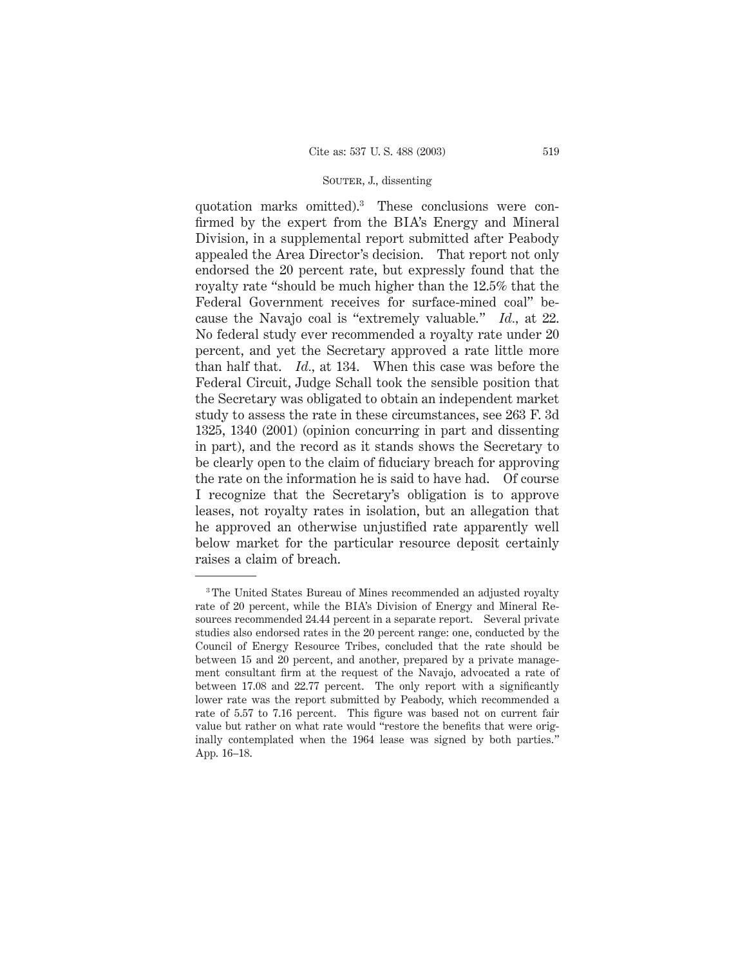quotation marks omitted).3 These conclusions were confirmed by the expert from the BIA's Energy and Mineral Division, in a supplemental report submitted after Peabody appealed the Area Director's decision. That report not only endorsed the 20 percent rate, but expressly found that the royalty rate "should be much higher than the 12.5% that the Federal Government receives for surface-mined coal" because the Navajo coal is "extremely valuable." *Id.,* at 22. No federal study ever recommended a royalty rate under 20 percent, and yet the Secretary approved a rate little more than half that. *Id.,* at 134. When this case was before the Federal Circuit, Judge Schall took the sensible position that the Secretary was obligated to obtain an independent market study to assess the rate in these circumstances, see 263 F. 3d 1325, 1340 (2001) (opinion concurring in part and dissenting in part), and the record as it stands shows the Secretary to be clearly open to the claim of fiduciary breach for approving the rate on the information he is said to have had. Of course I recognize that the Secretary's obligation is to approve leases, not royalty rates in isolation, but an allegation that he approved an otherwise unjustified rate apparently well below market for the particular resource deposit certainly raises a claim of breach.

<sup>&</sup>lt;sup>3</sup> The United States Bureau of Mines recommended an adjusted royalty rate of 20 percent, while the BIA's Division of Energy and Mineral Resources recommended 24.44 percent in a separate report. Several private studies also endorsed rates in the 20 percent range: one, conducted by the Council of Energy Resource Tribes, concluded that the rate should be between 15 and 20 percent, and another, prepared by a private management consultant firm at the request of the Navajo, advocated a rate of between 17.08 and 22.77 percent. The only report with a significantly lower rate was the report submitted by Peabody, which recommended a rate of 5.57 to 7.16 percent. This figure was based not on current fair value but rather on what rate would "restore the benefits that were originally contemplated when the 1964 lease was signed by both parties." App. 16–18.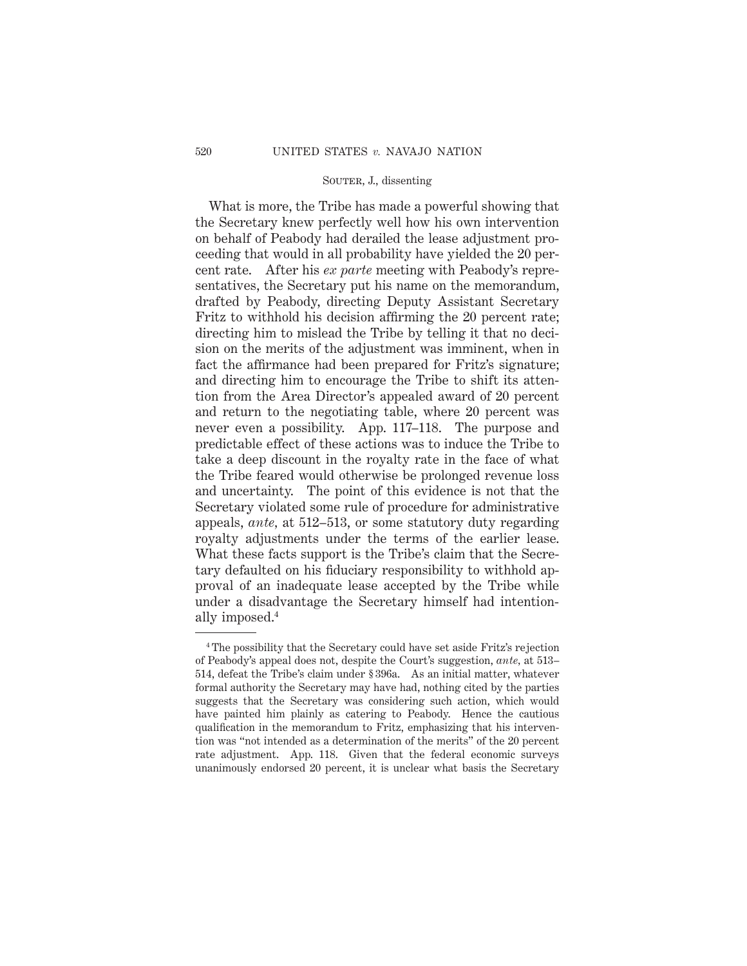What is more, the Tribe has made a powerful showing that the Secretary knew perfectly well how his own intervention on behalf of Peabody had derailed the lease adjustment proceeding that would in all probability have yielded the 20 percent rate. After his *ex parte* meeting with Peabody's representatives, the Secretary put his name on the memorandum, drafted by Peabody, directing Deputy Assistant Secretary Fritz to withhold his decision affirming the 20 percent rate; directing him to mislead the Tribe by telling it that no decision on the merits of the adjustment was imminent, when in fact the affirmance had been prepared for Fritz's signature; and directing him to encourage the Tribe to shift its attention from the Area Director's appealed award of 20 percent and return to the negotiating table, where 20 percent was never even a possibility. App. 117–118. The purpose and predictable effect of these actions was to induce the Tribe to take a deep discount in the royalty rate in the face of what the Tribe feared would otherwise be prolonged revenue loss and uncertainty. The point of this evidence is not that the Secretary violated some rule of procedure for administrative appeals, *ante,* at 512–513, or some statutory duty regarding royalty adjustments under the terms of the earlier lease. What these facts support is the Tribe's claim that the Secretary defaulted on his fiduciary responsibility to withhold approval of an inadequate lease accepted by the Tribe while under a disadvantage the Secretary himself had intentionally imposed.4

<sup>4</sup> The possibility that the Secretary could have set aside Fritz's rejection of Peabody's appeal does not, despite the Court's suggestion, *ante,* at 513– 514, defeat the Tribe's claim under § 396a. As an initial matter, whatever formal authority the Secretary may have had, nothing cited by the parties suggests that the Secretary was considering such action, which would have painted him plainly as catering to Peabody. Hence the cautious qualification in the memorandum to Fritz, emphasizing that his intervention was "not intended as a determination of the merits" of the 20 percent rate adjustment. App. 118. Given that the federal economic surveys unanimously endorsed 20 percent, it is unclear what basis the Secretary